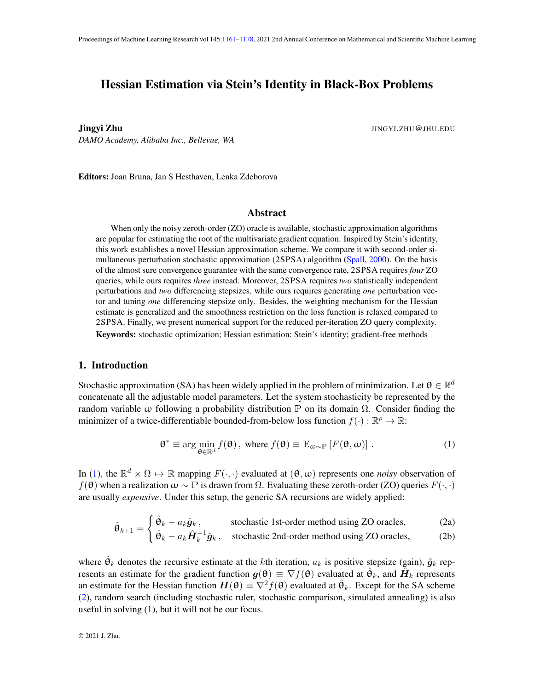# <span id="page-0-0"></span>Hessian Estimation via Stein's Identity in Black-Box Problems

*DAMO Academy, Alibaba Inc., Bellevue, WA*

Jingyi Zhu JINGYI.ZHU@JHU.EDU

Editors: Joan Bruna, Jan S Hesthaven, Lenka Zdeborova

### Abstract

When only the noisy zeroth-order (ZO) oracle is available, stochastic approximation algorithms are popular for estimating the root of the multivariate gradient equation. Inspired by Stein's identity, this work establishes a novel Hessian approximation scheme. We compare it with second-order si-multaneous perturbation stochastic approximation (2SPSA) algorithm [\(Spall,](#page-13-0) [2000\)](#page-13-0). On the basis of the almost sure convergence guarantee with the same convergence rate, 2SPSA requires *four* ZO queries, while ours requires *three* instead. Moreover, 2SPSA requires *two* statistically independent perturbations and *two* differencing stepsizes, while ours requires generating *one* perturbation vector and tuning *one* differencing stepsize only. Besides, the weighting mechanism for the Hessian estimate is generalized and the smoothness restriction on the loss function is relaxed compared to 2SPSA. Finally, we present numerical support for the reduced per-iteration ZO query complexity. Keywords: stochastic optimization; Hessian estimation; Stein's identity; gradient-free methods

### 1. Introduction

Stochastic approximation (SA) has been widely applied in the problem of minimization. Let  $\theta \in \mathbb{R}^d$ concatenate all the adjustable model parameters. Let the system stochasticity be represented by the random variable  $\omega$  following a probability distribution  $\mathbb P$  on its domain  $\Omega$ . Consider finding the minimizer of a twice-differentiable bounded-from-below loss function  $f(\cdot): \mathbb{R}^p \to \mathbb{R}$ :

<span id="page-0-1"></span>
$$
\mathbf{\theta}^* \equiv \arg \min_{\mathbf{\theta} \in \mathbb{R}^d} f(\mathbf{\theta}), \text{ where } f(\mathbf{\theta}) \equiv \mathbb{E}_{\omega \sim \mathbb{P}} \left[ F(\mathbf{\theta}, \omega) \right]. \tag{1}
$$

In [\(1\)](#page-0-1), the  $\mathbb{R}^d \times \Omega \mapsto \mathbb{R}$  mapping  $F(\cdot, \cdot)$  evaluated at  $(\theta, \omega)$  represents one *noisy* observation of f(θ) when a realization  $\omega \sim \mathbb{P}$  is drawn from  $\Omega$ . Evaluating these zeroth-order (ZO) queries  $F(\cdot, \cdot)$ are usually *expensive*. Under this setup, the generic SA recursions are widely applied:

<span id="page-0-2"></span>
$$
\hat{\theta}_{k+1} = \begin{cases} \hat{\theta}_k - a_k \hat{g}_k, & \text{stochastic 1st-order method using ZO oracles,} \\ \hat{\theta}_k - \hat{g}_k - a_k \hat{g}_k, & \text{stochastic 1st-order method using ZO oracles,} \end{cases} (2a)
$$

$$
k+1 = \left( \hat{\theta}_k - a_k \hat{\mathbf{H}}_k^{-1} \hat{\mathbf{g}}_k \right), \quad \text{stochastic 2nd-order method using ZO oracles}, \tag{2b}
$$

where  $\hat{\theta}_k$  denotes the recursive estimate at the kth iteration,  $a_k$  is positive stepsize (gain),  $\hat{g}_k$  represents an estimate for the gradient function  $g(\theta) \equiv \nabla f(\theta)$  evaluated at  $\hat{\theta}_k$ , and  $\hat{H}_k$  represents an estimate for the Hessian function  $H(\theta) \equiv \nabla^2 f(\theta)$  evaluated at  $\hat{\theta}_k$ . Except for the SA scheme [\(2\)](#page-0-2), random search (including stochastic ruler, stochastic comparison, simulated annealing) is also useful in solving  $(1)$ , but it will not be our focus.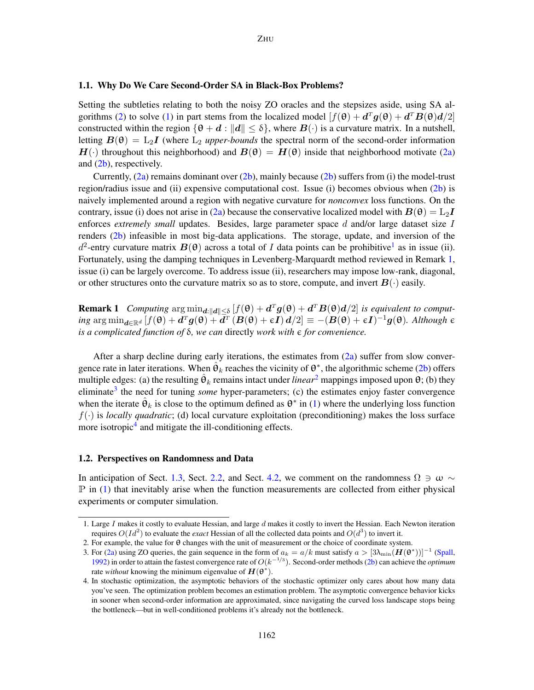### <span id="page-1-6"></span>1.1. Why Do We Care Second-Order SA in Black-Box Problems?

Setting the subtleties relating to both the noisy ZO oracles and the stepsizes aside, using SA al-gorithms [\(2\)](#page-0-2) to solve [\(1\)](#page-0-1) in part stems from the localized model  $[f(\theta) + d^T g(\theta) + d^T B(\theta) d/2]$ constructed within the region  $\{\theta + d : ||d|| \leq \delta\}$ , where  $B(\cdot)$  is a curvature matrix. In a nutshell, letting  $B(\theta) = L_2 I$  (where  $L_2$  *upper-bounds* the spectral norm of the second-order information  $H(\cdot)$  throughout this neighborhood) and  $B(\theta) = H(\theta)$  inside that neighborhood motivate [\(2a\)](#page-0-2) and [\(2b\)](#page-0-2), respectively.

Currently, [\(2a\)](#page-0-2) remains dominant over [\(2b\)](#page-0-2), mainly because [\(2b\)](#page-0-2) suffers from (i) the model-trust region/radius issue and (ii) expensive computational cost. Issue (i) becomes obvious when [\(2b\)](#page-0-2) is naively implemented around a region with negative curvature for *nonconvex* loss functions. On the contrary, issue (i) does not arise in [\(2a\)](#page-0-2) because the conservative localized model with  $B(\theta) = L_2 I$ enforces *extremely small* updates. Besides, large parameter space d and/or large dataset size I renders  $(2b)$  infeasible in most big-data applications. The storage, update, and inversion of the d<sup>2</sup>-entry curvature matrix  $B(\theta)$  across a total of I data points can be prohibitive<sup>[1](#page-1-0)</sup> as in issue (ii). Fortunately, using the damping techniques in Levenberg-Marquardt method reviewed in Remark [1,](#page-1-1) issue (i) can be largely overcome. To address issue (ii), researchers may impose low-rank, diagonal, or other structures onto the curvature matrix so as to store, compute, and invert  $B(\cdot)$  easily.

<span id="page-1-1"></span>**Remark 1** Computing  $\arg \min_{d:||d|| \leq \delta} [f(\theta) + d^T g(\theta) + d^T B(\theta) d/2]$  is equivalent to comput- $\delta\lim_{\bm{d}\in\mathbb{R}^d} \left[ f(\bm{\theta}) + \bm{d}^T\bm{g}(\bm{\theta}) + \overline{\bm{d}}^T\left(\bm{B}(\bm{\theta})+\bm{\epsilon I}\right)\bm{d}/2 \right] \equiv -(\bm{B}(\bm{\theta}) + \bm{\epsilon I})^{-1}\bm{g}(\bm{\theta}).$  Although  $\bm{\epsilon}$ *is a complicated function of* δ*, we can* directly *work with for convenience.*

After a sharp decline during early iterations, the estimates from  $(2a)$  suffer from slow convergence rate in later iterations. When  $\hat{\theta}_k$  reaches the vicinity of  $\theta^*$ , the algorithmic scheme [\(2b\)](#page-0-2) offers multiple edges: (a) the resulting  $\hat{\theta}_k$  remains intact under *linear*<sup>[2](#page-1-2)</sup> mappings imposed upon  $\theta$ ; (b) they eliminate<sup>[3](#page-1-3)</sup> the need for tuning *some* hyper-parameters; (c) the estimates enjoy faster convergence when the iterate  $\hat{\theta}_k$  is close to the optimum defined as  $\theta^*$  in [\(1\)](#page-0-1) where the underlying loss function  $f(\cdot)$  is *locally quadratic*; (d) local curvature exploitation (preconditioning) makes the loss surface more isotropic<sup>[4](#page-1-4)</sup> and mitigate the ill-conditioning effects.

#### <span id="page-1-5"></span>1.2. Perspectives on Randomness and Data

In anticipation of Sect. [1.3,](#page-2-0) Sect. [2.2,](#page-5-0) and Sect. [4.2,](#page-10-0) we comment on the randomness  $\Omega \ni \omega \sim$  $\mathbb P$  in [\(1\)](#page-0-1) that inevitably arise when the function measurements are collected from either physical experiments or computer simulation.

<span id="page-1-0"></span><sup>1.</sup> Large I makes it costly to evaluate Hessian, and large d makes it costly to invert the Hessian. Each Newton iteration requires  $O(Id^2)$  to evaluate the *exact* Hessian of all the collected data points and  $O(d^3)$  to invert it.

<span id="page-1-2"></span><sup>2.</sup> For example, the value for θ changes with the unit of measurement or the choice of coordinate system.

<span id="page-1-3"></span><sup>3.</sup> For [\(2a\)](#page-0-2) using ZO queries, the gain sequence in the form of  $a_k = a/k$  must satisfy  $a > [3\lambda_{\min}(\mathbf{H}(\theta^*))]^{-1}$  [\(Spall,](#page-13-1) [1992\)](#page-13-1) in order to attain the fastest convergence rate of  $O(k^{-1/3})$ . Second-order methods [\(2b\)](#page-0-2) can achieve the *optimum* rate *without* knowing the minimum eigenvalue of  $H(\theta^*)$ .

<span id="page-1-4"></span><sup>4.</sup> In stochastic optimization, the asymptotic behaviors of the stochastic optimizer only cares about how many data you've seen. The optimization problem becomes an estimation problem. The asymptotic convergence behavior kicks in sooner when second-order information are approximated, since navigating the curved loss landscape stops being the bottleneck—but in well-conditioned problems it's already not the bottleneck.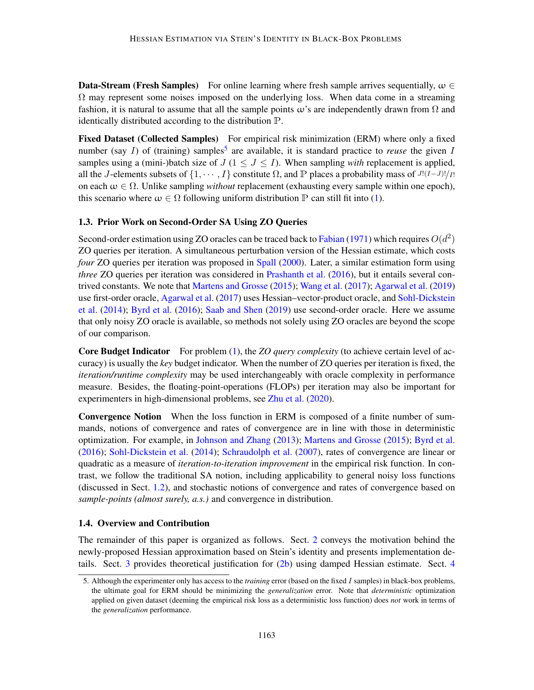**Data-Stream (Fresh Samples)** For online learning where fresh sample arrives sequentially,  $\omega \in$  $\Omega$  may represent some noises imposed on the underlying loss. When data come in a streaming fashion, it is natural to assume that all the sample points  $\omega$ 's are independently drawn from  $\Omega$  and identically distributed according to the distribution P.

Fixed Dataset (Collected Samples) For empirical risk minimization (ERM) where only a fixed number (say  $I$ ) of (training) samples<sup>[5](#page-2-1)</sup> are available, it is standard practice to *reuse* the given  $I$ samples using a (mini-)batch size of  $J$  ( $1 \leq J \leq I$ ). When sampling *with* replacement is applied, all the J-elements subsets of  $\{1, \dots, I\}$  constitute  $\Omega$ , and P places a probability mass of  $J!(I-J)!/I!$ on each  $\omega \in \Omega$ . Unlike sampling *without* replacement (exhausting every sample within one epoch), this scenario where  $\omega \in \Omega$  following uniform distribution  $\mathbb P$  can still fit into [\(1\)](#page-0-1).

### <span id="page-2-0"></span>1.3. Prior Work on Second-Order SA Using ZO Queries

Second-order estimation using ZO oracles can be traced back to [Fabian](#page-12-0) [\(1971\)](#page-12-0) which requires  $O(d^2)$ ZO queries per iteration. A simultaneous perturbation version of the Hessian estimate, which costs *four* ZO queries per iteration was proposed in [Spall](#page-13-0) [\(2000\)](#page-13-0). Later, a similar estimation form using *three* ZO queries per iteration was considered in [Prashanth et al.](#page-13-2) [\(2016\)](#page-13-2), but it entails several contrived constants. We note that [Martens and Grosse](#page-13-3) [\(2015\)](#page-13-3); [Wang et al.](#page-13-4) [\(2017\)](#page-13-4); [Agarwal et al.](#page-12-1) [\(2019\)](#page-12-1) use first-order oracle, [Agarwal et al.](#page-12-2) [\(2017\)](#page-12-2) uses Hessian–vector-product oracle, and [Sohl-Dickstein](#page-13-5) [et al.](#page-13-5) [\(2014\)](#page-13-5); [Byrd et al.](#page-12-3) [\(2016\)](#page-12-3); [Saab and Shen](#page-13-6) [\(2019\)](#page-13-6) use second-order oracle. Here we assume that only noisy ZO oracle is available, so methods not solely using ZO oracles are beyond the scope of our comparison.

Core Budget Indicator For problem [\(1\)](#page-0-1), the *ZO query complexity* (to achieve certain level of accuracy) is usually the *key* budget indicator. When the number of ZO queries per iteration is fixed, the *iteration/runtime complexity* may be used interchangeably with oracle complexity in performance measure. Besides, the floating-point-operations (FLOPs) per iteration may also be important for experimenters in high-dimensional problems, see [Zhu et al.](#page-14-0) [\(2020\)](#page-14-0).

Convergence Notion When the loss function in ERM is composed of a finite number of summands, notions of convergence and rates of convergence are in line with those in deterministic optimization. For example, in [Johnson and Zhang](#page-13-7) [\(2013\)](#page-13-7); [Martens and Grosse](#page-13-3) [\(2015\)](#page-13-3); [Byrd et al.](#page-12-3) [\(2016\)](#page-12-3); [Sohl-Dickstein et al.](#page-13-5) [\(2014\)](#page-13-5); [Schraudolph et al.](#page-13-8) [\(2007\)](#page-13-8), rates of convergence are linear or quadratic as a measure of *iteration-to-iteration improvement* in the empirical risk function. In contrast, we follow the traditional SA notion, including applicability to general noisy loss functions (discussed in Sect. [1.2\)](#page-1-5), and stochastic notions of convergence and rates of convergence based on *sample-points (almost surely, a.s.)* and convergence in distribution.

# <span id="page-2-2"></span>1.4. Overview and Contribution

The remainder of this paper is organized as follows. Sect. [2](#page-3-0) conveys the motivation behind the newly-proposed Hessian approximation based on Stein's identity and presents implementation details. Sect. [3](#page-7-0) provides theoretical justification for [\(2b\)](#page-0-2) using damped Hessian estimate. Sect. [4](#page-10-1)

<span id="page-2-1"></span><sup>5.</sup> Although the experimenter only has access to the *training* error (based on the fixed I samples) in black-box problems, the ultimate goal for ERM should be minimizing the *generalization* error. Note that *deterministic* optimization applied on given dataset (deeming the empirical risk loss as a deterministic loss function) does *not* work in terms of the *generalization* performance.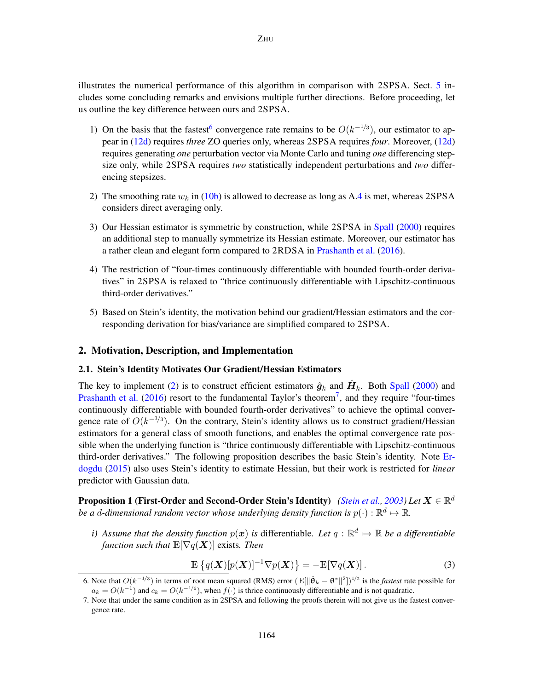illustrates the numerical performance of this algorithm in comparison with 2SPSA. Sect. [5](#page-11-0) includes some concluding remarks and envisions multiple further directions. Before proceeding, let us outline the key difference between ours and 2SPSA.

- 1) On the basis that the fastest<sup>[6](#page-3-1)</sup> convergence rate remains to be  $O(k^{-1/3})$ , our estimator to appear in [\(12d\)](#page-5-1) requires *three* ZO queries only, whereas 2SPSA requires *four*. Moreover, [\(12d\)](#page-5-1) requires generating *one* perturbation vector via Monte Carlo and tuning *one* differencing stepsize only, while 2SPSA requires *two* statistically independent perturbations and *two* differencing stepsizes.
- 2) The smoothing rate  $w_k$  in [\(10b\)](#page-5-2) is allowed to decrease as long as A[.4](#page-7-1) is met, whereas 2SPSA considers direct averaging only.
- 3) Our Hessian estimator is symmetric by construction, while 2SPSA in [Spall](#page-13-0) [\(2000\)](#page-13-0) requires an additional step to manually symmetrize its Hessian estimate. Moreover, our estimator has a rather clean and elegant form compared to 2RDSA in [Prashanth et al.](#page-13-2) [\(2016\)](#page-13-2).
- 4) The restriction of "four-times continuously differentiable with bounded fourth-order derivatives" in 2SPSA is relaxed to "thrice continuously differentiable with Lipschitz-continuous third-order derivatives."
- 5) Based on Stein's identity, the motivation behind our gradient/Hessian estimators and the corresponding derivation for bias/variance are simplified compared to 2SPSA.

# <span id="page-3-0"></span>2. Motivation, Description, and Implementation

### 2.1. Stein's Identity Motivates Our Gradient/Hessian Estimators

The key to implement [\(2\)](#page-0-2) is to construct efficient estimators  $\hat{g}_k$  and  $\hat{H}_k$ . Both [Spall](#page-13-0) [\(2000\)](#page-13-0) and [Prashanth et al.](#page-13-2) [\(2016\)](#page-13-2) resort to the fundamental Taylor's theorem<sup>[7](#page-3-2)</sup>, and they require "four-times continuously differentiable with bounded fourth-order derivatives" to achieve the optimal convergence rate of  $O(k^{-1/3})$ . On the contrary, Stein's identity allows us to construct gradient/Hessian estimators for a general class of smooth functions, and enables the optimal convergence rate possible when the underlying function is "thrice continuously differentiable with Lipschitz-continuous third-order derivatives." The following proposition describes the basic Stein's identity. Note [Er](#page-12-4)[dogdu](#page-12-4) [\(2015\)](#page-12-4) also uses Stein's identity to estimate Hessian, but their work is restricted for *linear* predictor with Gaussian data.

<span id="page-3-4"></span>Proposition 1 (First-Order and Second-Order Stein's Identity) *[\(Stein et al.,](#page-13-9) [2003\)](#page-13-9) Let*  $\bm{X} \in \mathbb{R}^d$ be a d-dimensional random vector whose underlying density function is  $p(\cdot): \mathbb{R}^d \mapsto \mathbb{R}$ .

*i)* Assume that the density function  $p(x)$  is differentiable. Let  $q : \mathbb{R}^d \mapsto \mathbb{R}$  be a differentiable *function such that*  $\mathbb{E}[\nabla q(\boldsymbol{X})]$  exists. Then

<span id="page-3-3"></span>
$$
\mathbb{E}\left\{q(\boldsymbol{X})[p(\boldsymbol{X})]^{-1}\nabla p(\boldsymbol{X})\right\} = -\mathbb{E}[\nabla q(\boldsymbol{X})].\tag{3}
$$

<span id="page-3-1"></span><sup>6.</sup> Note that  $O(k^{-1/3})$  in terms of root mean squared (RMS) error  $(\mathbb{E}[\|\hat{\theta}_k - \theta^*\|^2])^{1/2}$  is the *fastest* rate possible for  $a_k = O(k^{-1})$  and  $c_k = O(k^{-1/6})$ , when  $f(\cdot)$  is thrice continuously differentiable and is not quadratic.

<span id="page-3-2"></span><sup>7.</sup> Note that under the same condition as in 2SPSA and following the proofs therein will not give us the fastest convergence rate.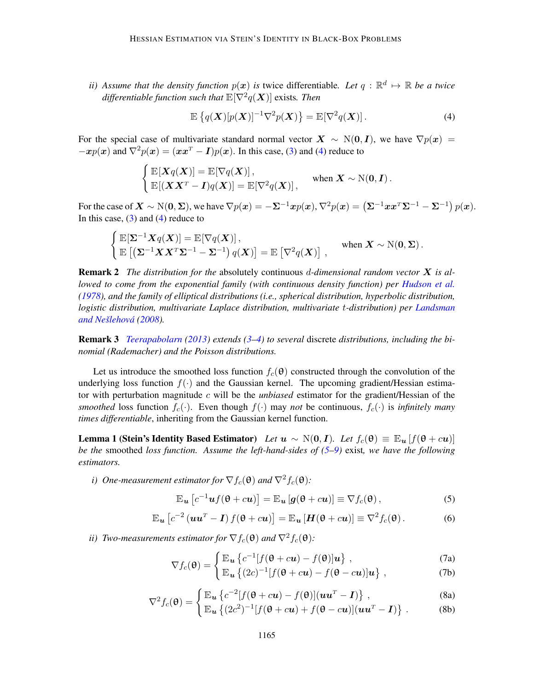*ii*) Assume that the density function  $p(x)$  is twice differentiable. Let  $q : \mathbb{R}^d \mapsto \mathbb{R}$  be a twice differentiable function such that  $\mathbb{E}[\nabla^2 q(\bm{X})]$  exists. Then

<span id="page-4-0"></span>
$$
\mathbb{E}\left\{q(\boldsymbol{X})[p(\boldsymbol{X})]^{-1}\nabla^2p(\boldsymbol{X})\right\} = \mathbb{E}[\nabla^2q(\boldsymbol{X})].\tag{4}
$$

For the special case of multivariate standard normal vector  $X \sim N(0, I)$ , we have  $\nabla p(x) =$  $-xp(x)$  and  $\nabla^2 p(x) = (x x^T - I)p(x)$ . In this case, [\(3\)](#page-3-3) and [\(4\)](#page-4-0) reduce to

$$
\begin{cases} \mathbb{E}[Xq(X)] = \mathbb{E}[\nabla q(X)], \\ \mathbb{E}[(XX^T - I)q(X)] = \mathbb{E}[\nabla^2 q(X)], \end{cases}
$$
 when  $X \sim N(0, I)$ .

For the case of  $X \sim N(0, \Sigma)$ , we have  $\nabla p(x) = -\Sigma^{-1} x p(x)$ ,  $\nabla^2 p(x) = (\Sigma^{-1} x x^T \Sigma^{-1} - \Sigma^{-1}) p(x)$ . In this case,  $(3)$  and  $(4)$  reduce to

$$
\begin{cases} \mathbb{E}[\mathbf{\Sigma}^{-1}\boldsymbol{X}q(\boldsymbol{X})] = \mathbb{E}[\nabla q(\boldsymbol{X})], \\ \mathbb{E}\left[\left(\mathbf{\Sigma}^{-1}\boldsymbol{X}\boldsymbol{X}^T\mathbf{\Sigma}^{-1} - \mathbf{\Sigma}^{-1}\right)q(\boldsymbol{X})\right] = \mathbb{E}\left[\nabla^2 q(\boldsymbol{X})\right], \end{cases} \text{ when } \boldsymbol{X} \sim \text{N}(\mathbf{0}, \boldsymbol{\Sigma})\,.
$$

<span id="page-4-3"></span>Remark 2 *The distribution for the* absolutely continuous d*-dimensional random vector* X *is allowed to come from the exponential family (with continuous density function) per [Hudson et al.](#page-13-10) [\(1978\)](#page-13-10), and the family of elliptical distributions (i.e., spherical distribution, hyperbolic distribution, logistic distribution, multivariate Laplace distribution, multivariate* t*-distribution) per [Landsman](#page-13-11) and Nešlehová [\(2008\)](#page-13-11)*.

<span id="page-4-4"></span>Remark 3 *[Teerapabolarn](#page-13-12) [\(2013\)](#page-13-12) extends [\(3–](#page-3-3)[4\)](#page-4-0) to several* discrete *distributions, including the binomial (Rademacher) and the Poisson distributions.*

Let us introduce the smoothed loss function  $f_c(\theta)$  constructed through the convolution of the underlying loss function  $f(\cdot)$  and the Gaussian kernel. The upcoming gradient/Hessian estimator with perturbation magnitude c will be the *unbiased* estimator for the gradient/Hessian of the *smoothed* loss function  $f_c(\cdot)$ . Even though  $f(\cdot)$  may *not* be continuous,  $f_c(\cdot)$  is *infinitely many times differentiable*, inheriting from the Gaussian kernel function.

<span id="page-4-2"></span>**Lemma 1 (Stein's Identity Based Estimator)** *Let*  $u \sim N(0, I)$ *. Let*  $f_c(\theta) \equiv \mathbb{E}_u [f(\theta + cu)]$ *be the* smoothed *loss function. Assume the left-hand-sides of [\(5–](#page-4-1)[9\)](#page-5-3)* exist*, we have the following estimators.*

*i) One-measurement estimator for*  $\nabla f_c(\theta)$  *and*  $\nabla^2 f_c(\theta)$ *:* 

<span id="page-4-1"></span>
$$
\mathbb{E}_{\boldsymbol{u}}\left[c^{-1}\boldsymbol{u}f(\boldsymbol{\theta}+c\boldsymbol{u})\right]=\mathbb{E}_{\boldsymbol{u}}\left[\boldsymbol{g}(\boldsymbol{\theta}+c\boldsymbol{u})\right]\equiv\nabla f_c(\boldsymbol{\theta}),\qquad(5)
$$

<span id="page-4-5"></span>
$$
\mathbb{E}_{\boldsymbol{u}}\left[c^{-2}\left(\boldsymbol{u}\boldsymbol{u}^T-\boldsymbol{I}\right)f(\boldsymbol{\theta}+c\boldsymbol{u})\right]=\mathbb{E}_{\boldsymbol{u}}\left[\boldsymbol{H}(\boldsymbol{\theta}+c\boldsymbol{u})\right]\equiv\nabla^2f_c(\boldsymbol{\theta}).\tag{6}
$$

<span id="page-4-6"></span>*ii) Two-measurements estimator for*  $\nabla f_c(\theta)$  *and*  $\nabla^2 f_c(\theta)$ *:* 

$$
\nabla f_c(\mathbf{\theta}) = \begin{cases} \mathbb{E}_{\mathbf{u}} \left\{ c^{-1} [f(\mathbf{\theta} + c\mathbf{u}) - f(\mathbf{\theta})] \mathbf{u} \right\}, \\ \mathbb{E}_{\mathbf{u}} \left\{ (2c)^{-1} [f(\mathbf{\theta} + c\mathbf{u}) - f(\mathbf{\theta})] \mathbf{u} \right\}, \end{cases}
$$
(7a)

$$
Jc(\mathbf{U}) = \int \mathbb{E}_{\mathbf{u}} \left\{ (2c)^{-1} [f(\mathbf{\theta} + c\mathbf{u}) - f(\mathbf{\theta} - c\mathbf{u})] \mathbf{u} \right\}, \tag{7b}
$$

<span id="page-4-7"></span>
$$
\nabla^2 f_c(\mathbf{\theta}) = \begin{cases} \mathbb{E}_{\mathbf{u}} \left\{ c^{-2} [f(\mathbf{\theta} + c\mathbf{u}) - f(\mathbf{\theta})] (\mathbf{u}\mathbf{u}^T - \mathbf{I}) \right\}, \\ \mathbb{E}_{\mathbf{u}} \left\{ (2c^2)^{-1} [f(\mathbf{\theta} + c\mathbf{u}) + f(\mathbf{\theta} - c\mathbf{u})] (\mathbf{u}\mathbf{u}^T - \mathbf{I}) \right\} \end{cases} \tag{8a}
$$

$$
Jc(\mathbf{U}) = \int \mathbb{E}_{\mathbf{u}} \left\{ (2c^2)^{-1} [f(\mathbf{\theta} + c\mathbf{u}) + f(\mathbf{\theta} - c\mathbf{u})] (\mathbf{u}\mathbf{u}^T - \mathbf{I}) \right\}.
$$
 (8b)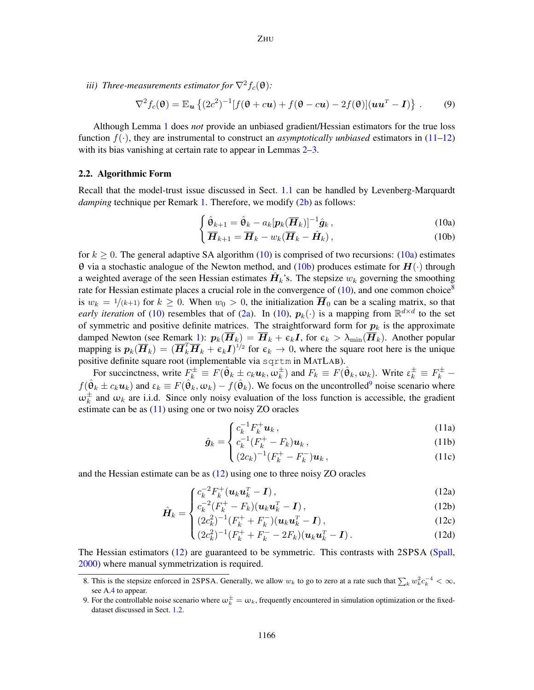*iii*) *Three-measurements estimator for*  $\nabla^2 f_c(\theta)$ *:* 

<span id="page-5-3"></span>
$$
\nabla^2 f_c(\boldsymbol{\theta}) = \mathbb{E}_{\boldsymbol{u}} \left\{ (2c^2)^{-1} [f(\boldsymbol{\theta} + c\boldsymbol{u}) + f(\boldsymbol{\theta} - c\boldsymbol{u}) - 2f(\boldsymbol{\theta})] (\boldsymbol{u}\boldsymbol{u}^T - \boldsymbol{I}) \right\}.
$$
 (9)

Although Lemma [1](#page-4-2) does *not* provide an unbiased gradient/Hessian estimators for the true loss function  $f(.)$ , they are instrumental to construct an *asymptotically unbiased* estimators in  $(11-12)$  $(11-12)$ with its bias vanishing at certain rate to appear in Lemmas  $2-3$  $2-3$ .

#### <span id="page-5-0"></span>2.2. Algorithmic Form

Recall that the model-trust issue discussed in Sect. [1.1](#page-1-6) can be handled by Levenberg-Marquardt *damping* technique per Remark [1.](#page-1-1) Therefore, we modify [\(2b\)](#page-0-2) as follows:

$$
\left\{ \frac{\hat{\boldsymbol{\theta}}_{k+1} = \hat{\boldsymbol{\theta}}_k - a_k [\boldsymbol{p}_k (\overline{\boldsymbol{H}}_k)]^{-1} \hat{\boldsymbol{g}}_k , \right. (10a)
$$

$$
\left(\overline{\boldsymbol{H}}_{k+1} = \overline{\boldsymbol{H}}_k - w_k (\overline{\boldsymbol{H}}_k - \hat{\boldsymbol{H}}_k),\right) \tag{10b}
$$

<span id="page-5-2"></span>for  $k \geq 0$ . The general adaptive SA algorithm [\(10\)](#page-5-2) is comprised of two recursions: [\(10a\)](#page-5-2) estimates  $θ$  via a stochastic analogue of the Newton method, and [\(10b\)](#page-5-2) produces estimate for  $H(·)$  through a weighted average of the seen Hessian estimates  $\hat{H}_k$ 's. The stepsize  $w_k$  governing the smoothing rate for Hessian estimate places a crucial role in the convergence of  $(10)$ , and one common choice<sup>[8](#page-5-5)</sup> is  $w_k = 1/(k+1)$  for  $k \ge 0$ . When  $w_0 > 0$ , the initialization  $\overline{H}_0$  can be a scaling matrix, so that *early iteration* of [\(10\)](#page-5-2) resembles that of [\(2a\)](#page-0-2). In (10),  $p_k(\cdot)$  is a mapping from  $\mathbb{R}^{d \times d}$  to the set of symmetric and positive definite matrices. The straightforward form for  $p_k$  is the approximate damped Newton (see Remark [1\)](#page-1-1):  $p_k(\overline{H}_k) = \overline{H}_k + \epsilon_k I$ , for  $\epsilon_k > \lambda_{\min}(\overline{H}_k)$ . Another popular mapping is  $p_k(\overline{H}_k) = (\overline{H}_k^T \overline{H}_k + \epsilon_k I)^{1/2}$  for  $\epsilon_k \to 0$ , where the square root here is the unique positive definite square root (implementable via sqrtm in MATLAB).

For succinctness, write  $F_k^{\pm} \equiv F(\hat{\theta}_k \pm c_k \mathbf{u}_k, \omega_k^{\pm})$  and  $F_k \equiv F(\hat{\theta}_k, \omega_k)$ . Write  $\varepsilon_k^{\pm} \equiv F_k^{\pm}$   $f(\hat{\theta}_k \pm c_k \mathbf{u}_k)$  and  $\varepsilon_k \equiv F(\hat{\theta}_k, \omega_k) - f(\hat{\theta}_k)$ . We focus on the uncontrolled<sup>[9](#page-5-6)</sup> noise scenario where  $\omega_k^{\pm}$  and  $\omega_k$  are i.i.d. Since only noisy evaluation of the loss function is accessible, the gradient estimate can be as [\(11\)](#page-5-4) using one or two noisy ZO oracles

$$
\int c_k^{-1} F_k^+ \mathbf{u}_k \,, \tag{11a}
$$

$$
\hat{\bm{g}}_k = \begin{cases} c_k - k - k, & (11b) \\ c_k - 1 (F_k^+ - F_k) \bm{u}_k, & (11b) \end{cases}
$$

$$
(11c)\quad (2c_k)^{-1}(F_k^+ - F_k^-)\mathbf{u}_k\,,\tag{11c}
$$

<span id="page-5-4"></span><span id="page-5-1"></span>and the Hessian estimate can be as [\(12\)](#page-5-1) using one to three noisy ZO oracles

$$
\int c_k^{-2} F_k^+ (\boldsymbol{u}_k \boldsymbol{u}_k^T - \boldsymbol{I}) \,, \tag{12a}
$$

$$
\hat{H}_k = \begin{cases}\nc_{k}^{-2}(\hat{F}_k^+ - F_k)(\mathbf{u}_k \mathbf{u}_k^T - \mathbf{I}),\\
(2c^2)^{-1}(\hat{F}_k^+ - F_k^{\text{max}})(\mathbf{u}_k \mathbf{u}_k^T - \mathbf{I})\n\end{cases}
$$
\n(12b)

$$
\kappa = \begin{cases}\n(2c_k^2)^{-1}(F_k^+ + F_k^-)(\mathbf{u}_k \mathbf{u}_k^T - \mathbf{I}), & (12c) \\
(2c_k^2)^{-1}(F_k^+ + F_k^- - 2F_k)(\mathbf{u}_k \mathbf{u}_k^T - \mathbf{I}). & (12d)\n\end{cases}
$$

$$
(12d) \t\t (2c_k^2)^{-1}(F_k^+ + F_k^- - 2F_k)(\boldsymbol{u}_k \boldsymbol{u}_k^T - \boldsymbol{I}). \t\t (12d)
$$

The Hessian estimators [\(12\)](#page-5-1) are guaranteed to be symmetric. This contrasts with 2SPSA [\(Spall,](#page-13-0) [2000\)](#page-13-0) where manual symmetrization is required.

<span id="page-5-5"></span>8. This is the stepsize enforced in 2SPSA. Generally, we allow  $w_k$  to go to zero at a rate such that  $\sum_k w_k^2 c_k^{-4} < \infty$ , see A[.4](#page-7-1) to appear.

<span id="page-5-6"></span><sup>9.</sup> For the controllable noise scenario where  $\omega_k^{\pm} = \omega_k$ , frequently encountered in simulation optimization or the fixeddataset discussed in Sect. [1.2.](#page-1-5)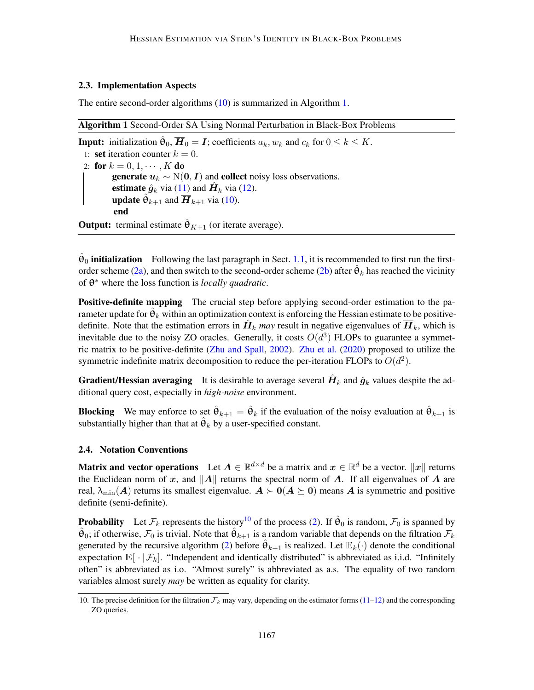# 2.3. Implementation Aspects

The entire second-order algorithms [\(10\)](#page-5-2) is summarized in Algorithm [1.](#page-6-0)

<span id="page-6-0"></span>

| Algorithm 1 Second-Order SA Using Normal Perturbation in Black-Box Problems                                                                                                 |  |  |  |  |  |
|-----------------------------------------------------------------------------------------------------------------------------------------------------------------------------|--|--|--|--|--|
| <b>Input:</b> initialization $\hat{\theta}_0$ , $\overline{H}_0 = I$ ; coefficients $a_k, w_k$ and $c_k$ for $0 \le k \le K$ .<br>1: <b>set</b> iteration counter $k = 0$ . |  |  |  |  |  |
| 2: for $k = 0, 1, \dots, K$ do                                                                                                                                              |  |  |  |  |  |
| <b>generate</b> $u_k \sim N(0, I)$ and <b>collect</b> noisy loss observations.                                                                                              |  |  |  |  |  |
| estimate $\hat{g}_k$ via (11) and $H_k$ via (12).                                                                                                                           |  |  |  |  |  |
| <b>update</b> $\hat{\theta}_{k+1}$ and $\overline{H}_{k+1}$ via (10).                                                                                                       |  |  |  |  |  |
| end                                                                                                                                                                         |  |  |  |  |  |
| <b>Output:</b> terminal estimate $\hat{\theta}_{K+1}$ (or iterate average).                                                                                                 |  |  |  |  |  |

 $\hat{\theta}_0$  initialization Following the last paragraph in Sect. [1.1,](#page-1-6) it is recommended to first run the first-order scheme [\(2a\)](#page-0-2), and then switch to the second-order scheme [\(2b\)](#page-0-2) after  $\hat{\theta}_k$  has reached the vicinity of θ <sup>∗</sup> where the loss function is *locally quadratic*.

**Positive-definite mapping** The crucial step before applying second-order estimation to the parameter update for  $\hat{\theta}_k$  within an optimization context is enforcing the Hessian estimate to be positivedefinite. Note that the estimation errors in  $\hat{H}_k$  *may* result in negative eigenvalues of  $\overline{H}_k$ , which is inevitable due to the noisy ZO oracles. Generally, it costs  $O(d^3)$  FLOPs to guarantee a symmetric matrix to be positive-definite [\(Zhu and Spall,](#page-14-1) [2002\)](#page-14-1). [Zhu et al.](#page-14-0) [\(2020\)](#page-14-0) proposed to utilize the symmetric indefinite matrix decomposition to reduce the per-iteration FLOPs to  $O(d^2)$ .

**Gradient/Hessian averaging** It is desirable to average several  $\hat{H}_k$  and  $\hat{g}_k$  values despite the additional query cost, especially in *high-noise* environment.

**Blocking** We may enforce to set  $\hat{\theta}_{k+1} = \hat{\theta}_k$  if the evaluation of the noisy evaluation at  $\hat{\theta}_{k+1}$  is substantially higher than that at  $\hat{\theta}_k$  by a user-specified constant.

# <span id="page-6-2"></span>2.4. Notation Conventions

**Matrix and vector operations** Let  $A \in \mathbb{R}^{d \times d}$  be a matrix and  $x \in \mathbb{R}^d$  be a vector.  $||x||$  returns the Euclidean norm of x, and ||A|| returns the spectral norm of A. If all eigenvalues of A are real,  $\lambda_{\min}(A)$  returns its smallest eigenvalue.  $A \succ 0$  ( $A \succeq 0$ ) means A is symmetric and positive definite (semi-definite).

**Probability** Let  $\mathcal{F}_k$  represents the history<sup>[10](#page-6-1)</sup> of the process [\(2\)](#page-0-2). If  $\hat{\theta}_0$  is random,  $\mathcal{F}_0$  is spanned by  $\hat{\theta}_0$ ; if otherwise,  $\mathcal{F}_0$  is trivial. Note that  $\hat{\theta}_{k+1}$  is a random variable that depends on the filtration  $\mathcal{F}_k$ generated by the recursive algorithm [\(2\)](#page-0-2) before  $\hat{\theta}_{k+1}$  is realized. Let  $\mathbb{E}_k(\cdot)$  denote the conditional expectation  $\mathbb{E}[\cdot|\mathcal{F}_k]$ . "Independent and identically distributed" is abbreviated as i.i.d. "Infinitely often" is abbreviated as i.o. "Almost surely" is abbreviated as a.s. The equality of two random variables almost surely *may* be written as equality for clarity.

<span id="page-6-1"></span><sup>10.</sup> The precise definition for the filtration  $\mathcal{F}_k$  may vary, depending on the estimator forms [\(11–](#page-5-4)[12\)](#page-5-1) and the corresponding ZO queries.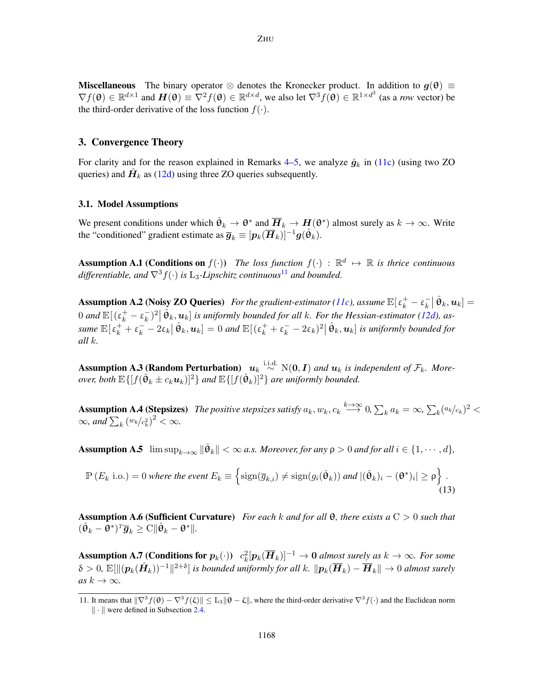Miscellaneous The binary operator  $\otimes$  denotes the Kronecker product. In addition to  $g(\theta) \equiv$  $\nabla f(\theta) \in \mathbb{R}^{d \times 1}$  and  $\mathbf{H}(\theta) \equiv \nabla^2 f(\theta) \in \mathbb{R}^{d \times d}$ , we also let  $\nabla^3 f(\theta) \in \mathbb{R}^{1 \times d^3}$  (as a *row* vector) be the third-order derivative of the loss function  $f(\cdot)$ .

### <span id="page-7-0"></span>3. Convergence Theory

For clarity and for the reason explained in Remarks [4–](#page-8-2)[5,](#page-8-3) we analyze  $\hat{g}_k$  in [\(11c\)](#page-5-4) (using two ZO queries) and  $\hat{H}_k$  as [\(12d\)](#page-5-1) using three ZO queries subsequently.

#### 3.1. Model Assumptions

We present conditions under which  $\hat{\theta}_k \to \theta^*$  and  $\overline{H}_k \to H(\theta^*)$  almost surely as  $k \to \infty$ . Write the "conditioned" gradient estimate as  $\overline{\boldsymbol{g}}_k \equiv [\boldsymbol{p}_k(\overline{\boldsymbol{H}}_k)]^{-1} \boldsymbol{g}(\hat{\boldsymbol{\theta}}_k)$ .

<span id="page-7-7"></span>**Assumption A.1 (Conditions on**  $f(\cdot)$ ) The loss function  $f(\cdot)$  :  $\mathbb{R}^d \mapsto \mathbb{R}$  is thrice continuous *differentiable, and*  $\nabla^3 f(\cdot)$  *is* L<sub>3</sub>-Lipschitz continuous<sup>[11](#page-7-2)</sup> and bounded.

<span id="page-7-3"></span>**Assumption A.2 (Noisy ZO Queries)** For the gradient-estimator [\(11c\)](#page-5-4), assume  $\mathbb{E}[\varepsilon_k^+ - \varepsilon_k^-]$  $\frac{-}{k}\big|\, \hat{\boldsymbol{\theta}}_k, \boldsymbol{u}_k] =$  $0$  and  $\mathbb{E}[(\varepsilon_k^+ - \varepsilon_k^-)]$  $\int_{k}^{+\infty}$   $\int_{k}^{2} |\hat{\theta}_{k}, \mathbf{u}_{k}|$  *is uniformly bounded for all* k*. For the Hessian-estimator [\(12d\)](#page-5-1), as-* $\text{sume } \mathbb{E}[\,\varepsilon_k^+ + \varepsilon_k^- - 2\varepsilon_k \big| \, \hat{\Theta}_k, \textbf{u}_k] = 0$  and  $\mathbb{E}[(\varepsilon_k^+ + \varepsilon_k^- - 2\varepsilon_k)^2 \big| \, \hat{\Theta}_k, \textbf{u}_k]$  is uniformly bounded for *all* k*.*

<span id="page-7-4"></span>Assumption A.3 (Random Perturbation)  $u_k \stackrel{\text{i.i.d.}}{\sim} N(0, I)$  and  $u_k$  is independent of  $\mathcal{F}_k$ . More- $\overline{\text{over, both}} \mathbb{E}\{[f(\hat{\theta}_k \pm c_k \boldsymbol{u}_k)]^2\}$  and  $\mathbb{E}\{[f(\hat{\theta}_k)]^2\}$  are uniformly bounded.

<span id="page-7-1"></span>Assumption A.4 (Stepsizes) *The positive stepsizes satisfy*  $a_k, w_k, c_k \stackrel{k\to\infty}{\longrightarrow} 0$ ,  $\sum_k a_k = \infty$ ,  $\sum_k (a_k/c_k)^2 <$  $\infty$ *, and*  $\sum_{k} (w_k / c_k^2)^2 < \infty$ *.* 

<span id="page-7-5"></span> $\textbf{Assumption A.5} \quad \limsup_{k \to \infty} \|\hat{\theta}_k\| < \infty \text{ a.s. Moreover, for any } \rho > 0 \text{ and for all } i \in \{1, \cdots, d\},$ 

<span id="page-7-6"></span>
$$
\mathbb{P}\left(E_k \text{ i.o.}\right) = 0 \text{ where the event } E_k \equiv \left\{ \text{sign}(\overline{g}_{k,i}) \neq \text{sign}(g_i(\hat{\theta}_k)) \text{ and } |(\hat{\theta}_k)_i - (\theta^*)_i| \geq \rho \right\}.
$$
\n(13)

<span id="page-7-8"></span>Assumption A.6 (Sufficient Curvature) *For each* k *and for all* θ*, there exists a* C > 0 *such that*  $(\hat{\theta}_k - \bar{\theta}^*)^T \overline{g}_k \geq C \|\hat{\theta}_k - \theta^*\|.$ 

<span id="page-7-9"></span>Assumption A.7 (Conditions for  $p_k(\cdot))$   $c_k^2[p_k(\overline{H}_k)]^{-1}\to 0$  almost surely as  $k\to\infty$ *. For some*  $\delta > 0$ ,  $\mathbb{E}[\|(\bm{p}_k(\hat{\bm{H}}_k))^{-1}\|^{2+\delta}]$  is bounded uniformly for all  $k$ .  $\|\bm{p}_k(\overline{\bm{H}}_k)-\overline{\bm{H}}_k\|\to 0$  almost surely  $as k \to \infty$ .

<span id="page-7-2"></span><sup>11.</sup> It means that  $\|\nabla^3 f(\theta) - \nabla^3 f(\zeta)\| \leq L_3 \|\theta - \zeta\|$ , where the third-order derivative  $\nabla^3 f(\cdot)$  and the Euclidean norm  $\|\cdot\|$  were defined in Subsection [2.4.](#page-6-2)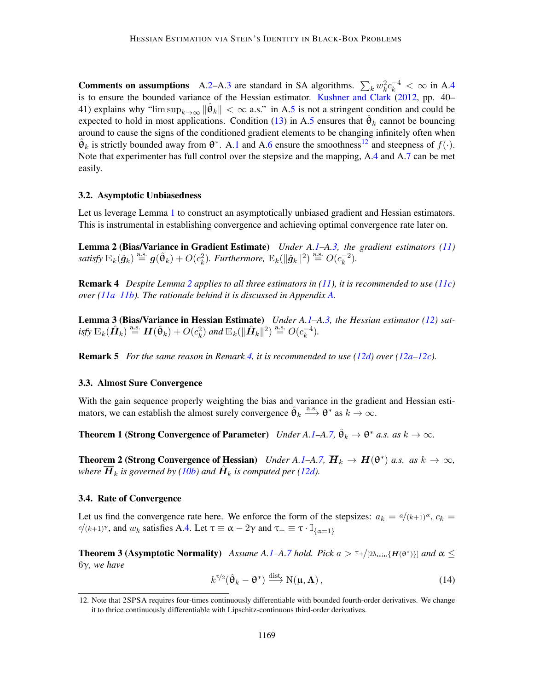**Comments on assumptions** A[.2–](#page-7-3)A[.3](#page-7-4) are standard in SA algorithms.  $\sum_k w_k^2 c_k^{-4} < \infty$  in A[.4](#page-7-1) is to ensure the bounded variance of the Hessian estimator. [Kushner and Clark](#page-13-13) [\(2012,](#page-13-13) pp. 40– 41) explains why "lim  $\sup_{k\to\infty} \|\hat{\theta}_k\| < \infty$  a.s." in A[.5](#page-7-5) is not a stringent condition and could be expected to hold in most applications. Condition [\(13\)](#page-7-6) in A[.5](#page-7-5) ensures that  $\hat{\theta}_k$  cannot be bouncing around to cause the signs of the conditioned gradient elements to be changing infinitely often when  $\hat{\theta}_k$  is strictly bounded away from  $\theta^*$ . A[.1](#page-7-7) and A[.6](#page-7-8) ensure the smoothness<sup>[12](#page-8-4)</sup> and steepness of  $f(\cdot)$ . Note that experimenter has full control over the stepsize and the mapping, A[.4](#page-7-1) and A[.7](#page-7-9) can be met easily.

# 3.2. Asymptotic Unbiasedness

<span id="page-8-0"></span>Let us leverage Lemma [1](#page-4-2) to construct an asymptotically unbiased gradient and Hessian estimators. This is instrumental in establishing convergence and achieving optimal convergence rate later on.

Lemma 2 (Bias/Variance in Gradient Estimate) *Under A[.1–](#page-7-7)A[.3,](#page-7-4) the gradient estimators [\(11\)](#page-5-4)* satisfy  $\mathbb{E}_k(\hat{g}_k) \stackrel{\text{a.s.}}{=} g(\hat{\theta}_k) + O(c_k^2)$ . Furthermore,  $\mathbb{E}_k(\|\hat{g}_k\|^2) \stackrel{\text{a.s.}}{=} O(c_k^{-2})$  $\binom{-2}{k}$ .

<span id="page-8-2"></span>Remark 4 *Despite Lemma [2](#page-8-0) applies to all three estimators in [\(11\)](#page-5-4), it is recommended to use [\(11c\)](#page-5-4) over [\(11a–11b\)](#page-5-4). The rationale behind it is discussed in Appendix [A.](#page-14-2)*

<span id="page-8-1"></span>Lemma 3 (Bias/Variance in Hessian Estimate) *Under A[.1–](#page-7-7)A[.3,](#page-7-4) the Hessian estimator [\(12\)](#page-5-1) sat* $isfy \mathbb{E}_k(\hat{\bm{H}_k}) \stackrel{\text{a.s.}}{=} \bm{H}(\hat{\bm{\theta}}_k) + O(c_k^2)$  and  $\mathbb{E}_k(\|\hat{\bm{H}_k}\|^2) \stackrel{\text{a.s.}}{=} O(c_k^{-4})$  $\binom{-4}{k}$ .

<span id="page-8-3"></span>Remark 5 *For the same reason in Remark [4,](#page-8-2) it is recommended to use [\(12d\)](#page-5-1) over [\(12a–12c\)](#page-5-1).*

# 3.3. Almost Sure Convergence

With the gain sequence properly weighting the bias and variance in the gradient and Hessian estimators, we can establish the almost surely convergence  $\hat{\theta}_k \stackrel{\text{a.s.}}{\longrightarrow} \theta^*$  as  $k \to \infty$ .

**Theorem 1 (Strong Convergence of Parameter)** *Under A[.1–](#page-7-7)A[.7,](#page-7-9)*  $\hat{\theta}_k \to \theta^*$  *a.s. as*  $k \to \infty$ *.* 

<span id="page-8-7"></span>**Theorem 2 (Strong Convergence of Hessian)** *Under A[.1–](#page-7-7)A[.7,](#page-7-9)*  $\overline{H}_k \to H(\theta^*)$  *a.s. as*  $k \to \infty$ *,* where  $\overline{H}_k$  is governed by [\(10b\)](#page-5-2) and  $\hat{H}_k$  is computed per [\(12d\)](#page-5-1).

#### 3.4. Rate of Convergence

Let us find the convergence rate here. We enforce the form of the stepsizes:  $a_k = \frac{a}{(k+1)^{\alpha}}$ ,  $c_k =$  $c/(k+1)$ <sup>γ</sup>, and  $w_k$  satisfies A[.4.](#page-7-1) Let  $\tau \equiv \alpha - 2\gamma$  and  $\tau_+ \equiv \tau \cdot \mathbb{I}_{\{\alpha=1\}}$ 

<span id="page-8-6"></span>**Theorem 3 (Asymptotic Normality)** *Assume A[.1–](#page-7-7)A[.7](#page-7-9) hold. Pick*  $a > \tau_{+}/[2\lambda_{\min}{H(\theta^*)}]$  *and*  $\alpha \leq$ 6γ*, we have*

<span id="page-8-5"></span>
$$
k^{\tau/2}(\hat{\theta}_k - \theta^*) \stackrel{\text{dist.}}{\longrightarrow} \text{N}(\mu, \Lambda) ,
$$
 (14)

<span id="page-8-4"></span><sup>12.</sup> Note that 2SPSA requires four-times continuously differentiable with bounded fourth-order derivatives. We change it to thrice continuously differentiable with Lipschitz-continuous third-order derivatives.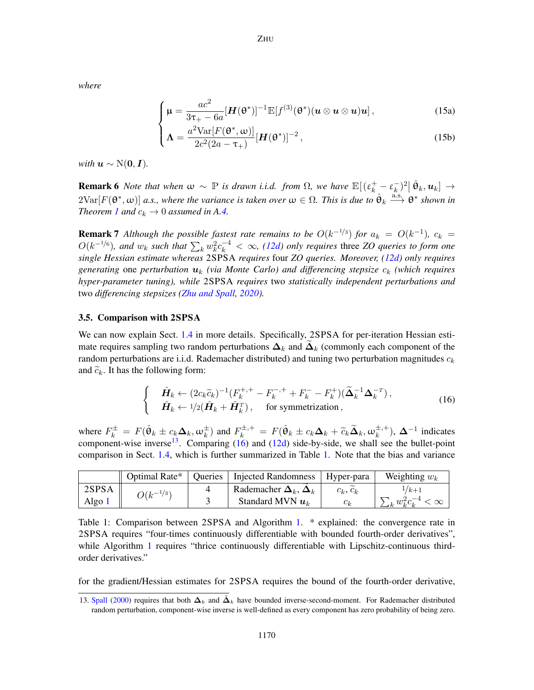**ZHU** 

<span id="page-9-3"></span>*where*

$$
\int \mu = \frac{ac^2}{3\tau_+ - 6a} [\boldsymbol{H}(\boldsymbol{\theta}^*)]^{-1} \mathbb{E}[f^{(3)}(\boldsymbol{\theta}^*) (\boldsymbol{u} \otimes \boldsymbol{u} \otimes \boldsymbol{u}) \boldsymbol{u}], \qquad (15a)
$$

$$
\left(\mathbf{\Lambda} = \frac{a^2 \text{Var}[F(\mathbf{\theta}^*, \omega)]}{2c^2(2a - \tau_+)} [\mathbf{H}(\mathbf{\theta}^*)]^{-2},\right)
$$
(15b)

*with*  $u \sim N(0, I)$ .

**Remark 6** *Note that when*  $\omega \sim \mathbb{P}$  *is drawn i.i.d. from*  $\Omega$ *, we have*  $\mathbb{E}[(\varepsilon_k^+ - \varepsilon_k^-)]$  $\left. \frac{1}{k}\right)^2 \left| \hat{\theta}_k, \boldsymbol{u}_k \right| \rightarrow$  $2\text{Var}[F(\theta^*,\omega)]$  a.s., where the variance is taken over  $\omega \in \Omega$ . This is due to  $\hat{\theta}_k \stackrel{\text{a.s.}}{\longrightarrow} \theta^*$  shown in *Theorem [1](#page-8-5)* and  $c_k \rightarrow 0$  assumed in A[.4.](#page-7-1)

**Remark 7** Although the possible fastest rate remains to be  $O(k^{-1/3})$  for  $a_k = O(k^{-1})$ ,  $c_k =$  $O(k^{-1/6})$ , and  $w_k$  such that  $\sum_k w_k^2 c_k^{-4} < \infty$ , [\(12d\)](#page-5-1) only requires three ZO queries to form one *single Hessian estimate whereas* 2SPSA *requires* four *ZO queries. Moreover, [\(12d\)](#page-5-1) only requires generating* one *perturbation*  $u_k$  *(via Monte Carlo)* and differencing stepsize  $c_k$  *(which requires hyper-parameter tuning), while* 2SPSA *requires* two *statistically independent perturbations and* two *differencing stepsizes [\(Zhu and Spall,](#page-14-3) [2020\)](#page-14-3).*

#### <span id="page-9-4"></span>3.5. Comparison with 2SPSA

We can now explain Sect. [1.4](#page-2-2) in more details. Specifically, 2SPSA for per-iteration Hessian estimate requires sampling two random perturbations  $\Delta_k$  and  $\Delta_k$  (commonly each component of the random perturbations are i.i.d. Rademacher distributed) and tuning two perturbation magnitudes  $c_k$ and  $\tilde{c}_k$ . It has the following form:

<span id="page-9-1"></span>
$$
\begin{cases}\n\quad \hat{H}_k \leftarrow (2c_k \tilde{c}_k)^{-1} (F_k^{+,+} - F_k^{-,+} + F_k^- - F_k^+) (\tilde{\Delta}_k^{-1} \Delta_k^{-T}), \\
\quad \hat{H}_k \leftarrow 1/2 (\hat{H}_k + \hat{H}_k^T), \quad \text{for symmetrication}\,,\n\end{cases} \tag{16}
$$

where  $F_k^{\pm} = F(\hat{\theta}_k \pm c_k \Delta_k, \omega_k^{\pm})$  and  $F_k^{\pm,+} = F(\hat{\theta}_k \pm c_k \Delta_k + \tilde{c}_k \tilde{\Delta}_k, \omega_k^{\pm,+})$  $_k^{\pm,+}$ ),  $\Delta^{-1}$  indicates component-wise inverse<sup>[13](#page-9-0)</sup>. Comparing  $(16)$  and  $(12d)$  side-by-side, we shall see the bullet-point comparison in Sect. [1.4,](#page-2-2) which is further summarized in Table [1.](#page-9-2) Note that the bias and variance

<span id="page-9-2"></span>

|        | Optimal Rate* | <b>Oueries</b> | Injected Randomness   Hyper-para   |            | Weighting $w_k$         |
|--------|---------------|----------------|------------------------------------|------------|-------------------------|
| 2SPSA  | $O(k^{-1/3})$ |                | Rademacher $\Delta_k$ , $\Delta_k$ | $c_k, c_k$ | $1/k+1$                 |
| Algo 1 |               |                | Standard MVN $u_k$                 | $c_k$      | $\sum_k w_k^2 c_k^{-4}$ |

Table 1: Comparison between 2SPSA and Algorithm [1.](#page-6-0) \* explained: the convergence rate in 2SPSA requires "four-times continuously differentiable with bounded fourth-order derivatives", while Algorithm [1](#page-6-0) requires "thrice continuously differentiable with Lipschitz-continuous thirdorder derivatives."

for the gradient/Hessian estimates for 2SPSA requires the bound of the fourth-order derivative,

<span id="page-9-0"></span><sup>13.</sup> [Spall](#page-13-0) [\(2000\)](#page-13-0) requires that both  $\Delta_k$  and  $\tilde{\Delta}_k$  have bounded inverse-second-moment. For Rademacher distributed random perturbation, component-wise inverse is well-defined as every component has zero probability of being zero.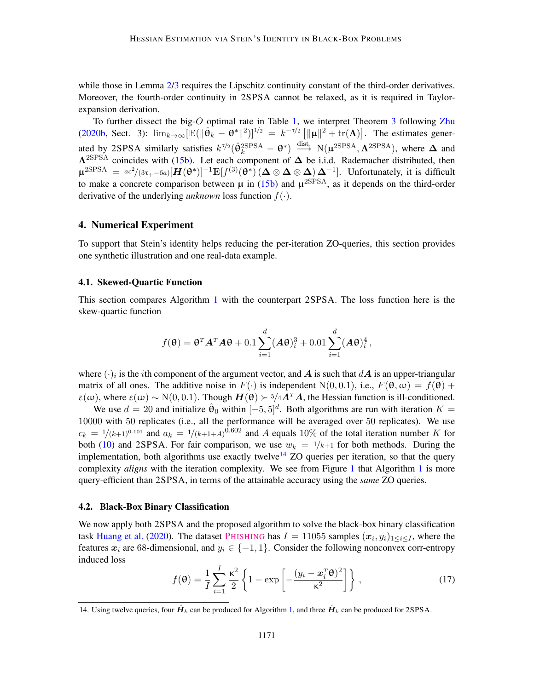while those in Lemma  $2/3$  $2/3$  requires the Lipschitz continuity constant of the third-order derivatives. Moreover, the fourth-order continuity in 2SPSA cannot be relaxed, as it is required in Taylorexpansion derivation.

To further dissect the big-O optimal rate in Table [1,](#page-9-2) we interpret Theorem [3](#page-8-6) following [Zhu](#page-14-4) [\(2020b,](#page-14-4) Sect. 3):  $\lim_{k\to\infty} [\mathbb{E}(\|\hat{\theta}_k - \theta^*\|^2)]^{1/2} = k^{-\tau/2} [\|\mu\|^2 + \text{tr}(\Lambda)]$ . The estimates generated by 2SPSA similarly satisfies  $k^{\tau/2}$  ( $\hat{\theta}_k^{\text{2SPSA}} - \theta^*$ )  $\xrightarrow{\text{dist.}} N(\mu^{\text{2SPSA}}, \Lambda^{\text{2SPSA}})$ , where  $\Delta$  and  $\Lambda^{\text{2SPSA}}$  coincides with [\(15b\)](#page-9-3). Let each component of  $\Delta$  be i.i.d. Rademacher distributed, then  $\mu^{\text{2SPSA}} = \alpha c^2/(3\tau_+ - 6\alpha) [H(\theta^*)]^{-1} \mathbb{E}[f^{(3)}(\theta^*) (\Delta \otimes \Delta \otimes \Delta) \Delta^{-1}]$ . Unfortunately, it is difficult to make a concrete comparison between  $\mu$  in [\(15b\)](#page-9-3) and  $\mu^{\text{2SPSA}}$ , as it depends on the third-order derivative of the underlying *unknown* loss function  $f(\cdot)$ .

# <span id="page-10-1"></span>4. Numerical Experiment

To support that Stein's identity helps reducing the per-iteration ZO-queries, this section provides one synthetic illustration and one real-data example.

#### 4.1. Skewed-Quartic Function

This section compares Algorithm [1](#page-6-0) with the counterpart 2SPSA. The loss function here is the skew-quartic function

$$
f(\boldsymbol{\theta}) = \boldsymbol{\theta}^T \boldsymbol{A}^T \boldsymbol{A} \boldsymbol{\theta} + 0.1 \sum_{i=1}^d (\boldsymbol{A} \boldsymbol{\theta})_i^3 + 0.01 \sum_{i=1}^d (\boldsymbol{A} \boldsymbol{\theta})_i^4,
$$

where  $(\cdot)_i$  is the *i*th component of the argument vector, and  $\boldsymbol{A}$  is such that  $d\boldsymbol{A}$  is an upper-triangular matrix of all ones. The additive noise in  $F(\cdot)$  is independent  $N(0, 0.1)$ , i.e.,  $F(\theta, \omega) = f(\theta) +$  $\varepsilon(\omega)$ , where  $\varepsilon(\omega) \sim N(0, 0.1)$ . Though  $H(\theta) > 5/4A^{T}A$ , the Hessian function is ill-conditioned.

We use  $d = 20$  and initialize  $\hat{\theta}_0$  within  $[-5, 5]^d$ . Both algorithms are run with iteration  $K =$ 10000 with 50 replicates (i.e., all the performance will be averaged over 50 replicates). We use  $c_k = 1/(k+1)^{0.101}$  and  $a_k = 1/(k+1+A)^{0.602}$  and A equals 10% of the total iteration number K for both [\(10\)](#page-5-2) and 2SPSA. For fair comparison, we use  $w_k = 1/k+1$  for both methods. During the implementation, both algorithms use exactly twelve<sup>[14](#page-10-2)</sup> ZO queries per iteration, so that the query complexity *aligns* with the iteration complexity. We see from Figure [1](#page-11-1) that Algorithm [1](#page-6-0) is more query-efficient than 2SPSA, in terms of the attainable accuracy using the *same* ZO queries.

#### <span id="page-10-0"></span>4.2. Black-Box Binary Classification

We now apply both 2SPSA and the proposed algorithm to solve the black-box binary classification task [Huang et al.](#page-13-14) [\(2020\)](#page-13-14). The dataset P[HISHING](https://www.csie.ntu.edu.tw/~cjlin/libsvmtools/datasets/binary.html#phishing) has  $I = 11055$  samples  $(x_i, y_i)_{1 \leq i \leq I}$ , where the features  $x_i$  are 68-dimensional, and  $y_i \in \{-1, 1\}$ . Consider the following nonconvex corr-entropy induced loss

<span id="page-10-3"></span>
$$
f(\mathbf{\theta}) = \frac{1}{I} \sum_{i=1}^{I} \frac{\kappa^2}{2} \left\{ 1 - \exp\left[ -\frac{(y_i - \boldsymbol{x}_i^T \mathbf{\theta})^2}{\kappa^2} \right] \right\},
$$
 (17)

<span id="page-10-2"></span><sup>14.</sup> Using twelve queries, four  $\hat{H}_k$  can be produced for Algorithm [1,](#page-6-0) and three  $\hat{H}_k$  can be produced for 2SPSA.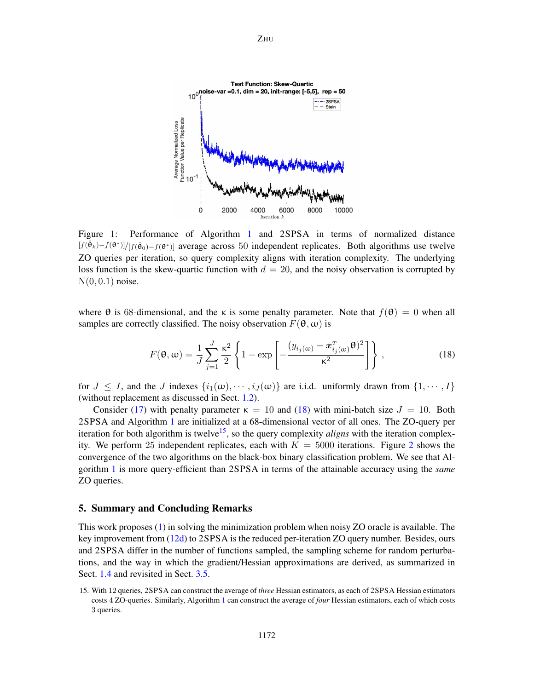**ZHU** 

<span id="page-11-1"></span>

Figure 1: Performance of Algorithm [1](#page-6-0) and 2SPSA in terms of normalized distance  $[f(\hat{\theta}_k) - f(\theta^*)]/[f(\hat{\theta}_0) - f(\theta^*)]$  average across 50 independent replicates. Both algorithms use twelve ZO queries per iteration, so query complexity aligns with iteration complexity. The underlying loss function is the skew-quartic function with  $d = 20$ , and the noisy observation is corrupted by  $N(0, 0.1)$  noise.

where  $\theta$  is 68-dimensional, and the k is some penalty parameter. Note that  $f(\theta) = 0$  when all samples are correctly classified. The noisy observation  $F(\theta, \omega)$  is

<span id="page-11-2"></span>
$$
F(\mathbf{\theta}, \omega) = \frac{1}{J} \sum_{j=1}^{J} \frac{\kappa^2}{2} \left\{ 1 - \exp\left[ -\frac{(y_{i_j(\omega)} - \mathbf{x}_{i_j(\omega)}^T \mathbf{\theta})^2}{\kappa^2} \right] \right\},
$$
(18)

for  $J \leq I$ , and the J indexes  $\{i_1(\omega), \dots, i_J(\omega)\}\$  are i.i.d. uniformly drawn from  $\{1, \dots, I\}$ (without replacement as discussed in Sect. [1.2\)](#page-1-5).

Consider [\(17\)](#page-10-3) with penalty parameter  $\kappa = 10$  and [\(18\)](#page-11-2) with mini-batch size  $J = 10$ . Both 2SPSA and Algorithm [1](#page-6-0) are initialized at a 68-dimensional vector of all ones. The ZO-query per iteration for both algorithm is twelve<sup>[15](#page-11-3)</sup>, so the query complexity *aligns* with the iteration complex-ity. We perform [2](#page-12-5)5 independent replicates, each with  $K = 5000$  iterations. Figure 2 shows the convergence of the two algorithms on the black-box binary classification problem. We see that Algorithm [1](#page-6-0) is more query-efficient than 2SPSA in terms of the attainable accuracy using the *same* ZO queries.

### <span id="page-11-0"></span>5. Summary and Concluding Remarks

This work proposes [\(1\)](#page-6-0) in solving the minimization problem when noisy ZO oracle is available. The key improvement from [\(12d\)](#page-5-1) to 2SPSA is the reduced per-iteration ZO query number. Besides, ours and 2SPSA differ in the number of functions sampled, the sampling scheme for random perturbations, and the way in which the gradient/Hessian approximations are derived, as summarized in Sect. [1.4](#page-2-2) and revisited in Sect. [3.5.](#page-9-4)

<span id="page-11-3"></span><sup>15.</sup> With 12 queries, 2SPSA can construct the average of *three* Hessian estimators, as each of 2SPSA Hessian estimators costs 4 ZO-queries. Similarly, Algorithm [1](#page-6-0) can construct the average of *four* Hessian estimators, each of which costs 3 queries.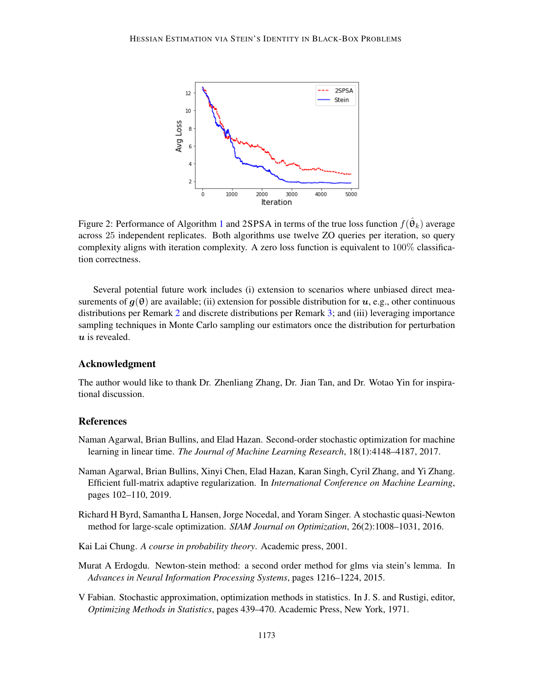<span id="page-12-5"></span>

Figure 2: Performance of Algorithm [1](#page-6-0) and 2SPSA in terms of the true loss function  $f(\hat{\theta}_k)$  average across 25 independent replicates. Both algorithms use twelve ZO queries per iteration, so query complexity aligns with iteration complexity. A zero loss function is equivalent to 100% classification correctness.

Several potential future work includes (i) extension to scenarios where unbiased direct measurements of  $g(\theta)$  are available; (ii) extension for possible distribution for  $u$ , e.g., other continuous distributions per Remark [2](#page-4-3) and discrete distributions per Remark [3;](#page-4-4) and (iii) leveraging importance sampling techniques in Monte Carlo sampling our estimators once the distribution for perturbation  $u$  is revealed.

### Acknowledgment

The author would like to thank Dr. Zhenliang Zhang, Dr. Jian Tan, and Dr. Wotao Yin for inspirational discussion.

### References

- <span id="page-12-2"></span>Naman Agarwal, Brian Bullins, and Elad Hazan. Second-order stochastic optimization for machine learning in linear time. *The Journal of Machine Learning Research*, 18(1):4148–4187, 2017.
- <span id="page-12-1"></span>Naman Agarwal, Brian Bullins, Xinyi Chen, Elad Hazan, Karan Singh, Cyril Zhang, and Yi Zhang. Efficient full-matrix adaptive regularization. In *International Conference on Machine Learning*, pages 102–110, 2019.
- <span id="page-12-3"></span>Richard H Byrd, Samantha L Hansen, Jorge Nocedal, and Yoram Singer. A stochastic quasi-Newton method for large-scale optimization. *SIAM Journal on Optimization*, 26(2):1008–1031, 2016.
- <span id="page-12-6"></span>Kai Lai Chung. *A course in probability theory*. Academic press, 2001.
- <span id="page-12-4"></span>Murat A Erdogdu. Newton-stein method: a second order method for glms via stein's lemma. In *Advances in Neural Information Processing Systems*, pages 1216–1224, 2015.
- <span id="page-12-0"></span>V Fabian. Stochastic approximation, optimization methods in statistics. In J. S. and Rustigi, editor, *Optimizing Methods in Statistics*, pages 439–470. Academic Press, New York, 1971.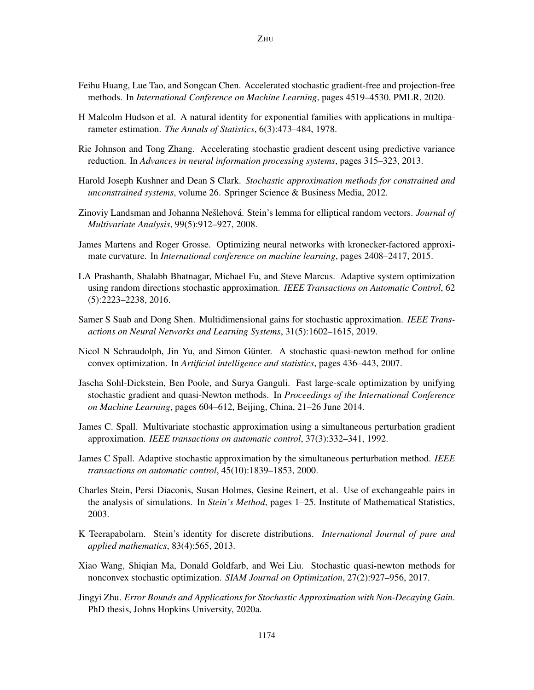- <span id="page-13-14"></span>Feihu Huang, Lue Tao, and Songcan Chen. Accelerated stochastic gradient-free and projection-free methods. In *International Conference on Machine Learning*, pages 4519–4530. PMLR, 2020.
- <span id="page-13-10"></span>H Malcolm Hudson et al. A natural identity for exponential families with applications in multiparameter estimation. *The Annals of Statistics*, 6(3):473–484, 1978.
- <span id="page-13-7"></span>Rie Johnson and Tong Zhang. Accelerating stochastic gradient descent using predictive variance reduction. In *Advances in neural information processing systems*, pages 315–323, 2013.
- <span id="page-13-13"></span>Harold Joseph Kushner and Dean S Clark. *Stochastic approximation methods for constrained and unconstrained systems*, volume 26. Springer Science & Business Media, 2012.
- <span id="page-13-11"></span>Zinoviy Landsman and Johanna Nešlehová. Stein's lemma for elliptical random vectors. *Journal of Multivariate Analysis*, 99(5):912–927, 2008.
- <span id="page-13-3"></span>James Martens and Roger Grosse. Optimizing neural networks with kronecker-factored approximate curvature. In *International conference on machine learning*, pages 2408–2417, 2015.
- <span id="page-13-2"></span>LA Prashanth, Shalabh Bhatnagar, Michael Fu, and Steve Marcus. Adaptive system optimization using random directions stochastic approximation. *IEEE Transactions on Automatic Control*, 62 (5):2223–2238, 2016.
- <span id="page-13-6"></span>Samer S Saab and Dong Shen. Multidimensional gains for stochastic approximation. *IEEE Transactions on Neural Networks and Learning Systems*, 31(5):1602–1615, 2019.
- <span id="page-13-8"></span>Nicol N Schraudolph, Jin Yu, and Simon Günter. A stochastic quasi-newton method for online convex optimization. In *Artificial intelligence and statistics*, pages 436–443, 2007.
- <span id="page-13-5"></span>Jascha Sohl-Dickstein, Ben Poole, and Surya Ganguli. Fast large-scale optimization by unifying stochastic gradient and quasi-Newton methods. In *Proceedings of the International Conference on Machine Learning*, pages 604–612, Beijing, China, 21–26 June 2014.
- <span id="page-13-1"></span>James C. Spall. Multivariate stochastic approximation using a simultaneous perturbation gradient approximation. *IEEE transactions on automatic control*, 37(3):332–341, 1992.
- <span id="page-13-0"></span>James C Spall. Adaptive stochastic approximation by the simultaneous perturbation method. *IEEE transactions on automatic control*, 45(10):1839–1853, 2000.
- <span id="page-13-9"></span>Charles Stein, Persi Diaconis, Susan Holmes, Gesine Reinert, et al. Use of exchangeable pairs in the analysis of simulations. In *Stein's Method*, pages 1–25. Institute of Mathematical Statistics, 2003.
- <span id="page-13-12"></span>K Teerapabolarn. Stein's identity for discrete distributions. *International Journal of pure and applied mathematics*, 83(4):565, 2013.
- <span id="page-13-4"></span>Xiao Wang, Shiqian Ma, Donald Goldfarb, and Wei Liu. Stochastic quasi-newton methods for nonconvex stochastic optimization. *SIAM Journal on Optimization*, 27(2):927–956, 2017.
- <span id="page-13-15"></span>Jingyi Zhu. *Error Bounds and Applications for Stochastic Approximation with Non-Decaying Gain*. PhD thesis, Johns Hopkins University, 2020a.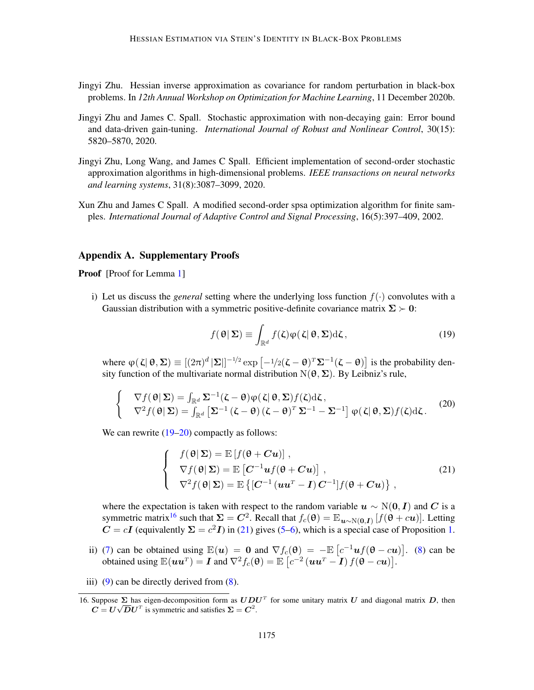- <span id="page-14-4"></span>Jingyi Zhu. Hessian inverse approximation as covariance for random perturbation in black-box problems. In *12th Annual Workshop on Optimization for Machine Learning*, 11 December 2020b.
- <span id="page-14-3"></span>Jingyi Zhu and James C. Spall. Stochastic approximation with non-decaying gain: Error bound and data-driven gain-tuning. *International Journal of Robust and Nonlinear Control*, 30(15): 5820–5870, 2020.
- <span id="page-14-0"></span>Jingyi Zhu, Long Wang, and James C Spall. Efficient implementation of second-order stochastic approximation algorithms in high-dimensional problems. *IEEE transactions on neural networks and learning systems*, 31(8):3087–3099, 2020.
- <span id="page-14-1"></span>Xun Zhu and James C Spall. A modified second-order spsa optimization algorithm for finite samples. *International Journal of Adaptive Control and Signal Processing*, 16(5):397–409, 2002.

# <span id="page-14-2"></span>Appendix A. Supplementary Proofs

Proof [Proof for Lemma [1\]](#page-4-2)

i) Let us discuss the *general* setting where the underlying loss function  $f(\cdot)$  convolutes with a Gaussian distribution with a symmetric positive-definite covariance matrix  $\Sigma \succ 0$ :

<span id="page-14-5"></span>
$$
f(\boldsymbol{\theta}|\boldsymbol{\Sigma}) \equiv \int_{\mathbb{R}^d} f(\boldsymbol{\zeta}) \varphi(\boldsymbol{\zeta}|\boldsymbol{\theta}, \boldsymbol{\Sigma}) \mathrm{d}\boldsymbol{\zeta},
$$
 (19)

where  $\varphi(\zeta|\theta,\Sigma) \equiv [(2\pi)^d |\Sigma|]^{-1/2} \exp[-1/2(\zeta-\theta)^T \Sigma^{-1}(\zeta-\theta)]$  is the probability density function of the multivariate normal distribution  $N(\theta, \Sigma)$ . By Leibniz's rule,

<span id="page-14-6"></span>
$$
\begin{cases}\n\nabla f(\boldsymbol{\theta}|\boldsymbol{\Sigma}) = \int_{\mathbb{R}^d} \boldsymbol{\Sigma}^{-1}(\boldsymbol{\zeta} - \boldsymbol{\theta}) \varphi(\boldsymbol{\zeta}|\boldsymbol{\theta}, \boldsymbol{\Sigma}) f(\boldsymbol{\zeta}) \mathrm{d}\boldsymbol{\zeta}, \\
\nabla^2 f(\boldsymbol{\theta}|\boldsymbol{\Sigma}) = \int_{\mathbb{R}^d} \left[ \boldsymbol{\Sigma}^{-1} (\boldsymbol{\zeta} - \boldsymbol{\theta}) (\boldsymbol{\zeta} - \boldsymbol{\theta})^T \boldsymbol{\Sigma}^{-1} - \boldsymbol{\Sigma}^{-1} \right] \varphi(\boldsymbol{\zeta}|\boldsymbol{\theta}, \boldsymbol{\Sigma}) f(\boldsymbol{\zeta}) \mathrm{d}\boldsymbol{\zeta}.\n\end{cases} (20)
$$

We can rewrite  $(19-20)$  $(19-20)$  compactly as follows:

<span id="page-14-8"></span>
$$
\begin{cases}\nf(\theta|\Sigma) = \mathbb{E}\left[f(\theta + C\mathbf{u})\right], \\
\nabla f(\theta|\Sigma) = \mathbb{E}\left[C^{-1}\mathbf{u}f(\theta + C\mathbf{u})\right], \\
\nabla^2 f(\theta|\Sigma) = \mathbb{E}\left\{\left[C^{-1}\left(\mathbf{u}\mathbf{u}^T - \mathbf{I}\right)C^{-1}\right]f(\theta + C\mathbf{u})\right\},\n\end{cases} \tag{21}
$$

where the expectation is taken with respect to the random variable  $u \sim N(0, I)$  and C is a symmetric matrix<sup>[16](#page-14-7)</sup> such that  $\Sigma = C^2$ . Recall that  $f_c(\theta) = \mathbb{E}_{\mathbf{u} \sim N(\mathbf{0},\mathbf{I})} [f(\theta + c\mathbf{u})]$ . Letting  $C = cI$  (equivalently  $\Sigma = c^2I$ ) in [\(21\)](#page-14-8) gives [\(5](#page-4-1)[–6\)](#page-4-5), which is a special case of Proposition [1.](#page-3-4)

- ii) [\(7\)](#page-4-6) can be obtained using  $\mathbb{E}(\boldsymbol{u}) = \boldsymbol{0}$  and  $\nabla f_c(\boldsymbol{\theta}) = -\mathbb{E} \left[c^{-1} \boldsymbol{u} f(\boldsymbol{\theta} c \boldsymbol{u})\right]$ . [\(8\)](#page-4-7) can be obtained using  $\mathbb{E}(\boldsymbol{u}\boldsymbol{u}^T)=\boldsymbol{I}$  and  $\nabla^2 f_c(\boldsymbol{\theta})=\mathbb{E}\left[c^{-2}(\boldsymbol{u}\boldsymbol{u}^T-\boldsymbol{I})f(\boldsymbol{\theta}-c\boldsymbol{u})\right]$ .
- iii)  $(9)$  can be directly derived from  $(8)$ .

<span id="page-14-7"></span><sup>16.</sup> Suppose  $\Sigma$  has eigen-decomposition form as  $UDU<sup>T</sup>$  for some unitary matrix U and diagonal matrix D, then  $C = U\sqrt{D}U^{T}$  is symmetric and satisfies  $\Sigma = C^{2}$ .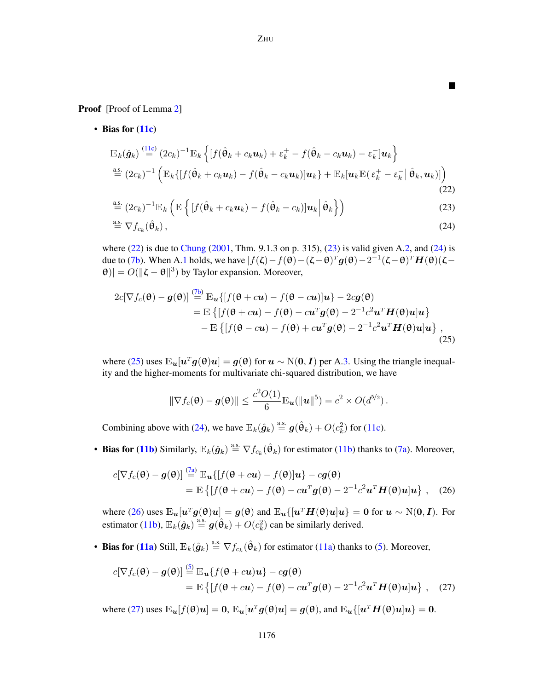Proof [Proof of Lemma [2\]](#page-8-0)

• Bias for [\(11c\)](#page-5-4)

$$
\mathbb{E}_{k}(\hat{\boldsymbol{g}}_{k}) \stackrel{(1)c)}{=} (2c_{k})^{-1} \mathbb{E}_{k} \left\{ \left[ f(\hat{\boldsymbol{\theta}}_{k} + c_{k}\boldsymbol{u}_{k}) + \varepsilon_{k}^{+} - f(\hat{\boldsymbol{\theta}}_{k} - c_{k}\boldsymbol{u}_{k}) - \varepsilon_{k}^{-} \right] \boldsymbol{u}_{k} \right\} \n\stackrel{\text{a.s.}}{=} (2c_{k})^{-1} \left( \mathbb{E}_{k} \{ \left[ f(\hat{\boldsymbol{\theta}}_{k} + c_{k}\boldsymbol{u}_{k}) - f(\hat{\boldsymbol{\theta}}_{k} - c_{k}\boldsymbol{u}_{k}) \right] \boldsymbol{u}_{k} \} + \mathbb{E}_{k} [\boldsymbol{u}_{k} \mathbb{E}(\varepsilon_{k}^{+} - \varepsilon_{k}^{-} \mid \hat{\boldsymbol{\theta}}_{k}, \boldsymbol{u}_{k})] \right) \tag{22}
$$

<span id="page-15-3"></span><span id="page-15-2"></span><span id="page-15-1"></span><span id="page-15-0"></span>

$$
\stackrel{\text{a.s.}}{=} (2c_k)^{-1} \mathbb{E}_k \left( \mathbb{E} \left\{ \left[ f(\hat{\boldsymbol{\theta}}_k + c_k \boldsymbol{u}_k) - f(\hat{\boldsymbol{\theta}}_k - c_k) \right] \boldsymbol{u}_k \right| \hat{\boldsymbol{\theta}}_k \right\} \right) \tag{23}
$$

$$
\stackrel{\text{a.s.}}{=} \nabla f_{c_k}(\hat{\boldsymbol{\theta}}_k) \,,\tag{24}
$$

where [\(22\)](#page-15-0) is due to [Chung](#page-12-6) [\(2001,](#page-12-6) Thm. 9.1.3 on p. 315), [\(23\)](#page-15-1) is valid given A[.2,](#page-7-3) and [\(24\)](#page-15-2) is due to [\(7b\)](#page-4-6). When A[.1](#page-7-7) holds, we have  $|f(\zeta)-f(\theta)-(\zeta-\theta)^T\mathbf{g}(\theta)-2^{-1}(\zeta-\theta)^T\mathbf{H}(\theta)(\zeta-\zeta)^T\mathbf{g}(\theta)$  $|\theta| = O(||\zeta - \theta||^3)$  by Taylor expansion. Moreover,

$$
2c[\nabla f_c(\mathbf{\theta}) - \mathbf{g}(\mathbf{\theta})] \stackrel{\text{(b)}}{=} \mathbb{E}_{\mathbf{u}}\{[f(\mathbf{\theta} + c\mathbf{u}) - f(\mathbf{\theta} - c\mathbf{u})]\mathbf{u}\} - 2cg(\mathbf{\theta})
$$
  
\n
$$
= \mathbb{E}\left\{[f(\mathbf{\theta} + c\mathbf{u}) - f(\mathbf{\theta}) - c\mathbf{u}^T\mathbf{g}(\mathbf{\theta}) - 2^{-1}c^2\mathbf{u}^T\mathbf{H}(\mathbf{\theta})\mathbf{u}]\mathbf{u}\right\}
$$
  
\n
$$
- \mathbb{E}\left\{[f(\mathbf{\theta} - c\mathbf{u}) - f(\mathbf{\theta}) + c\mathbf{u}^T\mathbf{g}(\mathbf{\theta}) - 2^{-1}c^2\mathbf{u}^T\mathbf{H}(\mathbf{\theta})\mathbf{u}]\mathbf{u}\right\},
$$
\n(25)

where [\(25\)](#page-15-3) uses  $\mathbb{E}_{u}[u^T g(\theta)u] = g(\theta)$  for  $u \sim N(0, I)$  per A[.3.](#page-7-4) Using the triangle inequality and the higher-moments for multivariate chi-squared distribution, we have

<span id="page-15-5"></span><span id="page-15-4"></span>
$$
\|\nabla f_c(\mathbf{\theta}) - \boldsymbol{g}(\mathbf{\theta})\| \leq \frac{c^2 O(1)}{6} \mathbb{E}_{\boldsymbol{u}}(\|\boldsymbol{u}\|^5) = c^2 \times O(d^{5/2}).
$$

Combining above with [\(24\)](#page-15-2), we have  $\mathbb{E}_k(\hat{g}_k) \stackrel{\text{a.s.}}{=} g(\hat{\theta}_k) + O(c_k^2)$  for [\(11c\)](#page-5-4).

• Bias for [\(11b\)](#page-5-4) Similarly,  $\mathbb{E}_k(\hat{g}_k) \stackrel{\text{a.s.}}{=} \nabla f_{c_k}(\hat{\theta}_k)$  for estimator (11b) thanks to [\(7a\)](#page-4-6). Moreover,

$$
c[\nabla f_c(\mathbf{\theta}) - \mathbf{g}(\mathbf{\theta})] \stackrel{(7a)}{=} \mathbb{E}_{\mathbf{u}} \{ [f(\mathbf{\theta} + c\mathbf{u}) - f(\mathbf{\theta})] \mathbf{u} \} - c\mathbf{g}(\mathbf{\theta})
$$
  
= 
$$
\mathbb{E} \{ [f(\mathbf{\theta} + c\mathbf{u}) - f(\mathbf{\theta}) - c\mathbf{u}^T \mathbf{g}(\mathbf{\theta}) - 2^{-1} c^2 \mathbf{u}^T \mathbf{H}(\mathbf{\theta}) \mathbf{u} ] \mathbf{u} \},
$$
 (26)

where [\(26\)](#page-15-4) uses  $\mathbb{E}_{u}[u^T g(\theta)u] = g(\theta)$  and  $\mathbb{E}_{u}\{[u^T H(\theta)u]u\} = 0$  for  $u \sim N(0, I)$ . For estimator [\(11b\)](#page-5-4),  $\mathbb{E}_k(\hat{g}_k) \stackrel{\text{a.s.}}{=} g(\hat{\theta}_k) + O(c_k^2)$  can be similarly derived.

• Bias for [\(11a\)](#page-5-4) Still,  $\mathbb{E}_k(\hat{g}_k) \stackrel{\text{a.s.}}{=} \nabla f_{c_k}(\hat{\theta}_k)$  for estimator (11a) thanks to [\(5\)](#page-4-1). Moreover,

$$
c[\nabla f_c(\mathbf{\theta}) - \mathbf{g}(\mathbf{\theta})] \stackrel{(5)}{=} \mathbb{E}_{\mathbf{u}} \{ f(\mathbf{\theta} + c\mathbf{u})\mathbf{u} \} - c\mathbf{g}(\mathbf{\theta})
$$
  
=  $\mathbb{E} \{ [f(\mathbf{\theta} + c\mathbf{u}) - f(\mathbf{\theta}) - c\mathbf{u}^T \mathbf{g}(\mathbf{\theta}) - 2^{-1}c^2 \mathbf{u}^T \mathbf{H}(\mathbf{\theta})\mathbf{u} ] \mathbf{u} \},$  (27)

where [\(27\)](#page-15-5) uses  $\mathbb{E}_{u}[f(\theta)u] = 0$ ,  $\mathbb{E}_{u}[u^{\mathrm{T}}g(\theta)u] = g(\theta)$ , and  $\mathbb{E}_{u}\{[u^{\mathrm{T}}H(\theta)u]u\} = 0$ .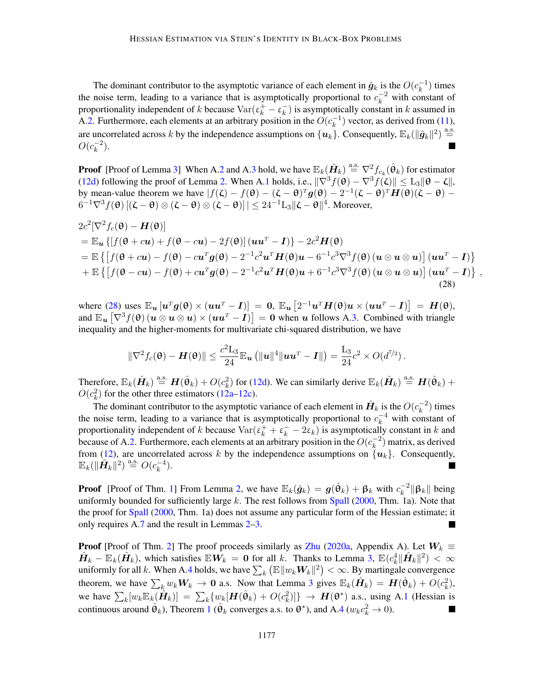The dominant contributor to the asymptotic variance of each element in  $\hat{g}_k$  is the  $O(c_k^{-1})$  $\binom{-1}{k}$  times the noise term, leading to a variance that is asymptotically proportional to  $c_k^{-2}$  with constant of proportionality independent of k because  $\text{Var}(\varepsilon_k^+ - \varepsilon_k^-)$  $\binom{-}{k}$  is asymptotically constant in k assumed in A[.2.](#page-7-3) Furthermore, each elements at an arbitrary position in the  $O(c_k^{-1})$  $\binom{-1}{k}$  vector, as derived from [\(11\)](#page-5-4), are uncorrelated across k by the independence assumptions on  $\{u_k\}$ . Consequently,  $\mathbb{E}_k(\|\hat{g}_k\|^2) \stackrel{\text{a.s.}}{=}$  $O(c_k^{-2})$  $\binom{-2}{k}$ .

**Proof** [Proof of Lemma [3\]](#page-8-1) When A[.2](#page-7-3) and A[.3](#page-7-4) hold, we have  $\mathbb{E}_k(\hat{H}_k) \stackrel{\text{a.s.}}{=} \nabla^2 f_{c_k}(\hat{\theta}_k)$  for estimator [\(12d\)](#page-5-1) following the proof of Lemma [2.](#page-8-0) When A[.1](#page-7-7) holds, i.e.,  $\|\nabla^3 f(\theta) - \nabla^3 f(\zeta)\| \le L_3 \|\theta - \zeta\|$ , by mean-value theorem we have  $|f(\zeta) - f(\theta) - (\zeta - \theta)^T g(\theta) - 2^{-1}(\zeta - \theta)^T H(\theta)(\zeta - \theta)$  $6^{-1}\nabla^3 f(\bm{\theta})\left[(\bm{\zeta}-\bm{\theta})\otimes(\bm{\zeta}-\bm{\theta})\otimes(\bm{\zeta}-\bm{\theta})\right]|\leq 24^{-1}\mathrm{L}_3\|\bm{\zeta}-\bm{\theta}\|^4.$  Moreover,

$$
2c^{2}[\nabla^{2} f_{c}(\theta) - \mathbf{H}(\theta)]
$$
  
=  $\mathbb{E}_{\mathbf{u}} \{ [f(\theta + c\mathbf{u}) + f(\theta - c\mathbf{u}) - 2f(\theta)] (\mathbf{u}\mathbf{u}^{T} - \mathbf{I}) \} - 2c^{2} \mathbf{H}(\theta)$   
=  $\mathbb{E} \{ [f(\theta + c\mathbf{u}) - f(\theta) - c\mathbf{u}^{T} g(\theta) - 2^{-1} c^{2} \mathbf{u}^{T} \mathbf{H}(\theta) \mathbf{u} - 6^{-1} c^{3} \nabla^{3} f(\theta) (\mathbf{u} \otimes \mathbf{u} \otimes \mathbf{u}) ] (\mathbf{u}\mathbf{u}^{T} - \mathbf{I}) \} + \mathbb{E} \{ [f(\theta - c\mathbf{u}) - f(\theta) + c\mathbf{u}^{T} g(\theta) - 2^{-1} c^{2} \mathbf{u}^{T} \mathbf{H}(\theta) \mathbf{u} + 6^{-1} c^{3} \nabla^{3} f(\theta) (\mathbf{u} \otimes \mathbf{u} \otimes \mathbf{u}) ] (\mathbf{u}\mathbf{u}^{T} - \mathbf{I}) \}, (28)$ 

where [\(28\)](#page-16-0) uses  $\mathbb{E}_u[u^T g(\theta) \times (uu^T - I)] = 0$ ,  $\mathbb{E}_u[2^{-1}u^T H(\theta)u \times (uu^T - I)] = H(\theta)$ , and  $\mathbb{E}_u \left[ \nabla^3 f(\theta) \left( u \otimes u \otimes u \right) \times \left( u u^T - I \right) \right] = 0$  when u follows A[.3.](#page-7-4) Combined with triangle inequality and the higher-moments for multivariate chi-squared distribution, we have

<span id="page-16-0"></span>
$$
\|\nabla^2 f_c(\mathbf{\theta}) - \mathbf{H}(\mathbf{\theta})\| \leq \frac{c^2 \mathbf{L}_3}{24} \mathbb{E}_{\mathbf{u}} \left( \|\mathbf{u}\|^4 \|\mathbf{u}\mathbf{u}^T - \mathbf{I}\| \right) = \frac{\mathbf{L}_3}{24} c^2 \times O(d^{7/2}).
$$

Therefore,  $\mathbb{E}_k(\hat{H}_k) \stackrel{\text{a.s.}}{=} H(\hat{\theta}_k) + O(c_k^2)$  for [\(12d\)](#page-5-1). We can similarly derive  $\mathbb{E}_k(\hat{H}_k) \stackrel{\text{a.s.}}{=} H(\hat{\theta}_k) +$  $O(c_k^2)$  for the other three estimators [\(12a–12c\)](#page-5-1).

The dominant contributor to the asymptotic variance of each element in  $\hat{\bm{H}}_k$  is the  $O(c_k^{-2})$  $\binom{-2}{k}$  times the noise term, leading to a variance that is asymptotically proportional to  $c_k^{-4}$  with constant of proportionality independent of k because  $\text{Var}(\epsilon_k^+ + \epsilon_k^- - 2\epsilon_k)$  is asymptotically constant in k and because of A[.2.](#page-7-3) Furthermore, each elements at an arbitrary position in the  $O(c_k^{-2})$  $\binom{-2}{k}$  matrix, as derived from [\(12\)](#page-5-1), are uncorrelated across k by the independence assumptions on  $\{u_k\}$ . Consequently,  $\mathbb{E}_k(\|\hat{\bm{H}}_k\|^2) \overset{\text{a.s.}}{=} O(c_k^{-4})$  $\binom{-4}{k}$ .

**Proof** [Proof of Thm. [1\]](#page-8-5) From Lemma [2,](#page-8-0) we have  $\mathbb{E}_k(\hat{g}_k) = g(\hat{\theta}_k) + \beta_k$  with  $c_k^{-2}$  $\frac{k}{k}$ <sup>2</sup>|| $\beta_k$ || being uniformly bounded for sufficiently large  $k$ . The rest follows from [Spall](#page-13-0) [\(2000,](#page-13-0) Thm. 1a). Note that the proof for [Spall](#page-13-0) [\(2000,](#page-13-0) Thm. 1a) does not assume any particular form of the Hessian estimate; it only requires A[.7](#page-7-9) and the result in Lemmas [2–](#page-8-0)[3.](#page-8-1)

**Proof** [Proof of Thm. [2\]](#page-8-7) The proof proceeds similarly as [Zhu](#page-13-15) [\(2020a,](#page-13-15) Appendix A). Let  $W_k \equiv$  $\hat{H}_k - \mathbb{E}_k(\hat{H}_k)$ , which satisfies  $\mathbb{E}W_k = 0$  for all k. Thanks to Lemma [3,](#page-8-1)  $\mathbb{E}(c_k^4 \|\hat{H}_k\|^2) < \infty$ uniformly for all *k*. When A[.4](#page-7-1) holds, we have  $\sum_k \left(\mathbb{E} \|w_k \bm{W}_k\|^2\right) < \infty$ . By martingale convergence theorem, we have  $\sum_k w_k \mathbf{W}_k \to \mathbf{0}$  a.s. Now that Lemma [3](#page-8-1) gives  $\mathbb{E}_k(\hat{\mathbf{H}}_k) = \mathbf{H}(\hat{\theta}_k) + O(c_k^2)$ , we have  $\sum_k [w_k \mathbb{E}_k(\hat{H}_k)] = \sum_k \{w_k [\boldsymbol{H}(\hat{\theta}_k) + O(c_k^2)]\} \rightarrow \boldsymbol{H}(\theta^*)$  a.s., using A[.1](#page-7-7) (Hessian is continuous around  $\hat{\theta}_k$ ), Theorem [1](#page-8-5) ( $\hat{\theta}_k$  converges a.s. to  $\theta^*$ ), and A[.4](#page-7-1) ( $w_k c_k^2 \to 0$ ).